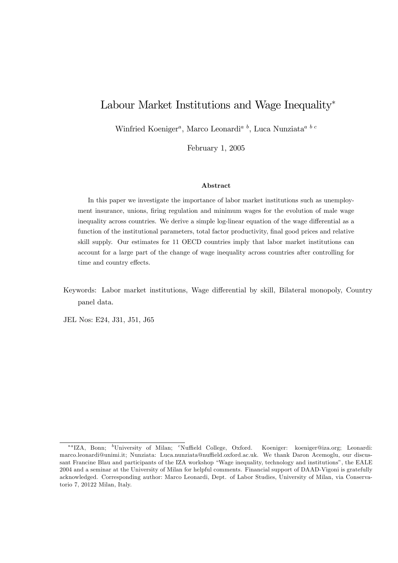# Labour Market Institutions and Wage Inequality<sup>\*</sup>

Winfried Koeniger<sup>*a*</sup>, Marco Leonardi<sup>*a*</sup><sup>*b*</sup>, Luca Nunziata<sup>*a*</sup><sup>*b*</sup><sup>*c*</sup>

February 1, 2005

#### Abstract

In this paper we investigate the importance of labor market institutions such as unemployment insurance, unions, firing regulation and minimum wages for the evolution of male wage inequality across countries. We derive a simple log-linear equation of the wage differential as a function of the institutional parameters, total factor productivity, final good prices and relative skill supply. Our estimates for 11 OECD countries imply that labor market institutions can account for a large part of the change of wage inequality across countries after controlling for time and country effects.

Keywords: Labor market institutions, Wage differential by skill, Bilateral monopoly, Country panel data.

JEL Nos: E24, J31, J51, J65

<sup>\*&</sup>lt;sup>a</sup>IZA, Bonn; <sup>b</sup>University of Milan; <sup>c</sup>Nuffield College, Oxford. Koeniger: koeniger@iza.org; Leonardi: marco.leonardi@unimi.it; Nunziata: Luca.nunziata@nuffield.oxford.ac.uk. We thank Daron Acemoglu, our discussant Francine Blau and participants of the IZA workshop "Wage inequality, technology and institutions", the EALE 2004 and a seminar at the University of Milan for helpful comments. Financial support of DAAD-Vigoni is gratefully acknowledged. Corresponding author: Marco Leonardi, Dept. of Labor Studies, University of Milan, via Conservatorio 7, 20122 Milan, Italy.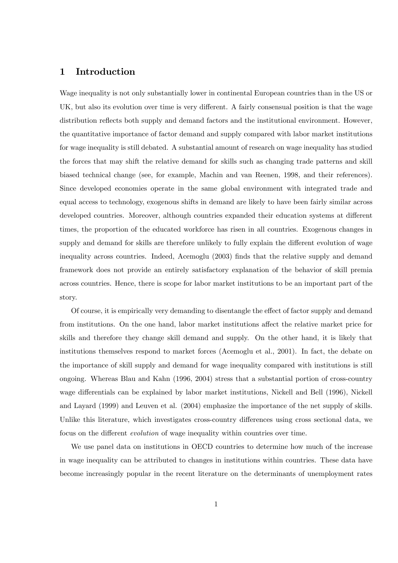# 1 Introduction

Wage inequality is not only substantially lower in continental European countries than in the US or UK, but also its evolution over time is very different. A fairly consensual position is that the wage distribution reflects both supply and demand factors and the institutional environment. However, the quantitative importance of factor demand and supply compared with labor market institutions for wage inequality is still debated. A substantial amount of research on wage inequality has studied the forces that may shift the relative demand for skills such as changing trade patterns and skill biased technical change (see, for example, Machin and van Reenen, 1998, and their references). Since developed economies operate in the same global environment with integrated trade and equal access to technology, exogenous shifts in demand are likely to have been fairly similar across developed countries. Moreover, although countries expanded their education systems at different times, the proportion of the educated workforce has risen in all countries. Exogenous changes in supply and demand for skills are therefore unlikely to fully explain the different evolution of wage inequality across countries. Indeed, Acemoglu (2003) Önds that the relative supply and demand framework does not provide an entirely satisfactory explanation of the behavior of skill premia across countries. Hence, there is scope for labor market institutions to be an important part of the story.

Of course, it is empirically very demanding to disentangle the effect of factor supply and demand from institutions. On the one hand, labor market institutions affect the relative market price for skills and therefore they change skill demand and supply. On the other hand, it is likely that institutions themselves respond to market forces (Acemoglu et al., 2001). In fact, the debate on the importance of skill supply and demand for wage inequality compared with institutions is still ongoing. Whereas Blau and Kahn (1996, 2004) stress that a substantial portion of cross-country wage differentials can be explained by labor market institutions, Nickell and Bell (1996), Nickell and Layard (1999) and Leuven et al. (2004) emphasize the importance of the net supply of skills. Unlike this literature, which investigates cross-country differences using cross sectional data, we focus on the different *evolution* of wage inequality within countries over time.

We use panel data on institutions in OECD countries to determine how much of the increase in wage inequality can be attributed to changes in institutions within countries. These data have become increasingly popular in the recent literature on the determinants of unemployment rates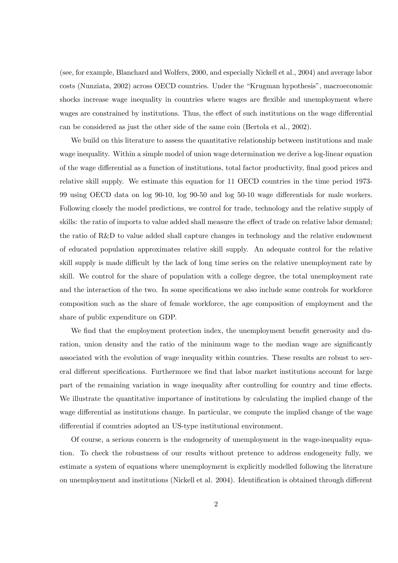(see, for example, Blanchard and Wolfers, 2000, and especially Nickell et al., 2004) and average labor  $\cos$ ts (Nunziata, 2002) across OECD countries. Under the "Krugman hypothesis", macroeconomic shocks increase wage inequality in countries where wages are flexible and unemployment where wages are constrained by institutions. Thus, the effect of such institutions on the wage differential can be considered as just the other side of the same coin (Bertola et al., 2002).

We build on this literature to assess the quantitative relationship between institutions and male wage inequality. Within a simple model of union wage determination we derive a log-linear equation of the wage differential as a function of institutions, total factor productivity, final good prices and relative skill supply. We estimate this equation for 11 OECD countries in the time period 1973- 99 using OECD data on  $log$  90-10,  $log$  90-50 and  $log$  50-10 wage differentials for male workers. Following closely the model predictions, we control for trade, technology and the relative supply of skills: the ratio of imports to value added shall measure the effect of trade on relative labor demand; the ratio of R&D to value added shall capture changes in technology and the relative endowment of educated population approximates relative skill supply. An adequate control for the relative skill supply is made difficult by the lack of long time series on the relative unemployment rate by skill. We control for the share of population with a college degree, the total unemployment rate and the interaction of the two. In some specifications we also include some controls for workforce composition such as the share of female workforce, the age composition of employment and the share of public expenditure on GDP.

We find that the employment protection index, the unemployment benefit generosity and duration, union density and the ratio of the minimum wage to the median wage are significantly associated with the evolution of wage inequality within countries. These results are robust to several different specifications. Furthermore we find that labor market institutions account for large part of the remaining variation in wage inequality after controlling for country and time effects. We illustrate the quantitative importance of institutions by calculating the implied change of the wage differential as institutions change. In particular, we compute the implied change of the wage differential if countries adopted an US-type institutional environment.

Of course, a serious concern is the endogeneity of unemployment in the wage-inequality equation. To check the robustness of our results without pretence to address endogeneity fully, we estimate a system of equations where unemployment is explicitly modelled following the literature on unemployment and institutions (Nickell et al. 2004). Identification is obtained through different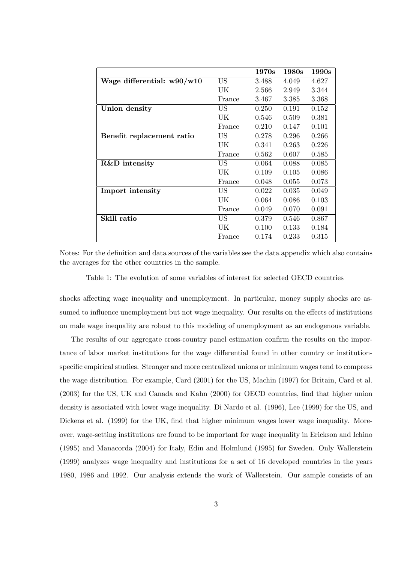|                              |           | 1970s | 1980s | 1990 <sub>s</sub> |
|------------------------------|-----------|-------|-------|-------------------|
| Wage differential: $w90/w10$ | <b>US</b> | 3.488 | 4.049 | 4.627             |
|                              | UK        | 2.566 | 2.949 | 3.344             |
|                              | France    | 3.467 | 3.385 | 3.368             |
| Union density                | US        | 0.250 | 0.191 | 0.152             |
|                              | UK        | 0.546 | 0.509 | 0.381             |
|                              | France    | 0.210 | 0.147 | 0.101             |
| Benefit replacement ratio    | US        | 0.278 | 0.296 | 0.266             |
|                              | UK        | 0.341 | 0.263 | 0.226             |
|                              | France    | 0.562 | 0.607 | 0.585             |
| R&D intensity                | US        | 0.064 | 0.088 | 0.085             |
|                              | UK        | 0.109 | 0.105 | 0.086             |
|                              | France    | 0.048 | 0.055 | 0.073             |
| Import intensity             | US        | 0.022 | 0.035 | 0.049             |
|                              | UK        | 0.064 | 0.086 | 0.103             |
|                              | France    | 0.049 | 0.070 | 0.091             |
| Skill ratio                  | US        | 0.379 | 0.546 | 0.867             |
|                              | UK        | 0.100 | 0.133 | 0.184             |
|                              | France    | 0.174 | 0.233 | 0.315             |

Notes: For the definition and data sources of the variables see the data appendix which also contains the averages for the other countries in the sample.

Table 1: The evolution of some variables of interest for selected OECD countries

shocks affecting wage inequality and unemployment. In particular, money supply shocks are assumed to influence unemployment but not wage inequality. Our results on the effects of institutions on male wage inequality are robust to this modeling of unemployment as an endogenous variable.

The results of our aggregate cross-country panel estimation confirm the results on the importance of labor market institutions for the wage differential found in other country or institutionspecific empirical studies. Stronger and more centralized unions or minimum wages tend to compress the wage distribution. For example, Card (2001) for the US, Machin (1997) for Britain, Card et al. (2003) for the US, UK and Canada and Kahn (2000) for OECD countries, find that higher union density is associated with lower wage inequality. Di Nardo et al. (1996), Lee (1999) for the US, and Dickens et al. (1999) for the UK, find that higher minimum wages lower wage inequality. Moreover, wage-setting institutions are found to be important for wage inequality in Erickson and Ichino (1995) and Manacorda (2004) for Italy, Edin and Holmlund (1995) for Sweden. Only Wallerstein (1999) analyzes wage inequality and institutions for a set of 16 developed countries in the years 1980, 1986 and 1992. Our analysis extends the work of Wallerstein. Our sample consists of an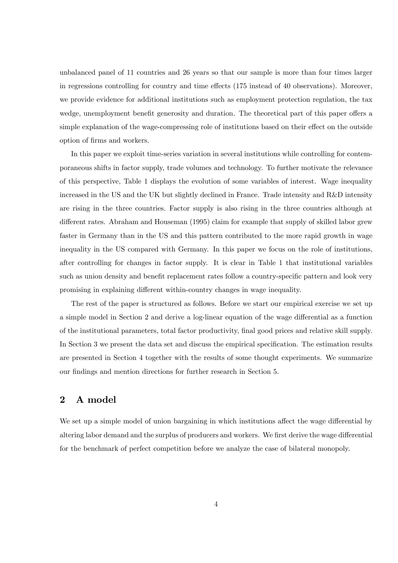unbalanced panel of 11 countries and 26 years so that our sample is more than four times larger in regressions controlling for country and time effects  $(175 \text{ instead of } 40 \text{ observations})$ . Moreover, we provide evidence for additional institutions such as employment protection regulation, the tax wedge, unemployment benefit generosity and duration. The theoretical part of this paper offers a simple explanation of the wage-compressing role of institutions based on their effect on the outside option of Örms and workers.

In this paper we exploit time-series variation in several institutions while controlling for contemporaneous shifts in factor supply, trade volumes and technology. To further motivate the relevance of this perspective, Table 1 displays the evolution of some variables of interest. Wage inequality increased in the US and the UK but slightly declined in France. Trade intensity and R&D intensity are rising in the three countries. Factor supply is also rising in the three countries although at different rates. Abraham and Houseman (1995) claim for example that supply of skilled labor grew faster in Germany than in the US and this pattern contributed to the more rapid growth in wage inequality in the US compared with Germany. In this paper we focus on the role of institutions, after controlling for changes in factor supply. It is clear in Table 1 that institutional variables such as union density and benefit replacement rates follow a country-specific pattern and look very promising in explaining different within-country changes in wage inequality.

The rest of the paper is structured as follows. Before we start our empirical exercise we set up a simple model in Section 2 and derive a log-linear equation of the wage differential as a function of the institutional parameters, total factor productivity, Önal good prices and relative skill supply. In Section 3 we present the data set and discuss the empirical specification. The estimation results are presented in Section 4 together with the results of some thought experiments. We summarize our findings and mention directions for further research in Section 5.

# 2 A model

We set up a simple model of union bargaining in which institutions affect the wage differential by altering labor demand and the surplus of producers and workers. We first derive the wage differential for the benchmark of perfect competition before we analyze the case of bilateral monopoly.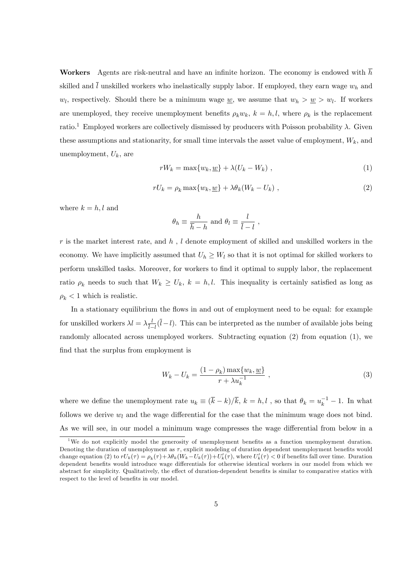Workers Agents are risk-neutral and have an infinite horizon. The economy is endowed with  $\overline{h}$ skilled and  $\overline{l}$  unskilled workers who inelastically supply labor. If employed, they earn wage  $w_h$  and  $w_l$ , respectively. Should there be a minimum wage <u>w</u>, we assume that  $w_h > w_l$ . If workers are unemployed, they receive unemployment benefits  $\rho_k w_k$ ,  $k = h, l$ , where  $\rho_k$  is the replacement ratio.<sup>1</sup> Employed workers are collectively dismissed by producers with Poisson probability  $\lambda$ . Given these assumptions and stationarity, for small time intervals the asset value of employment,  $W_k$ , and unemployment,  $U_k$ , are

$$
rW_k = \max\{w_k, \underline{w}\} + \lambda (U_k - W_k) \t{,}
$$
\t(1)

$$
rU_k = \rho_k \max\{w_k, \underline{w}\} + \lambda \theta_k (W_k - U_k) \tag{2}
$$

where  $k = h, l$  and

$$
\theta_h \equiv \frac{h}{\overline{h} - h}
$$
 and  $\theta_l \equiv \frac{l}{\overline{l} - l}$ ,

r is the market interest rate, and  $h$ , l denote employment of skilled and unskilled workers in the economy. We have implicitly assumed that  $U_h \geq W_l$  so that it is not optimal for skilled workers to perform unskilled tasks. Moreover, for workers to find it optimal to supply labor, the replacement ratio  $\rho_k$  needs to such that  $W_k \ge U_k$ ,  $k = h, l$ . This inequality is certainly satisfied as long as  $\rho_k < 1$  which is realistic.

In a stationary equilibrium the flows in and out of employment need to be equal: for example for unskilled workers  $\lambda l = \lambda \frac{l}{l}$  $\frac{l}{l-l}(l-l)$ . This can be interpreted as the number of available jobs being randomly allocated across unemployed workers. Subtracting equation (2) from equation (1), we find that the surplus from employment is

$$
W_k - U_k = \frac{(1 - \rho_k) \max\{w_k, \underline{w}\}}{r + \lambda u_k^{-1}} \,, \tag{3}
$$

where we define the unemployment rate  $u_k \equiv (\bar{k} - k)/\bar{k}$ ,  $k = h, l$ , so that  $\theta_k = u_k^{-1} - 1$ . In what follows we derive  $w_l$  and the wage differential for the case that the minimum wage does not bind. As we will see, in our model a minimum wage compresses the wage differential from below in a

<sup>&</sup>lt;sup>1</sup>We do not explicitly model the generosity of unemployment benefits as a function unemployment duration. Denoting the duration of unemployment as  $\tau$ , explicit modeling of duration dependent unemployment benefits would change equation (2) to  $rU_k(\tau) = \rho_k(\tau) + \lambda \theta_k(W_k - U_k(\tau)) + U'_k(\tau)$ , where  $U'_k(\tau) < 0$  if benefits fall over time. Duration dependent benefits would introduce wage differentials for otherwise identical workers in our model from which we abstract for simplicity. Qualitatively, the effect of duration-dependent benefits is similar to comparative statics with respect to the level of benefits in our model.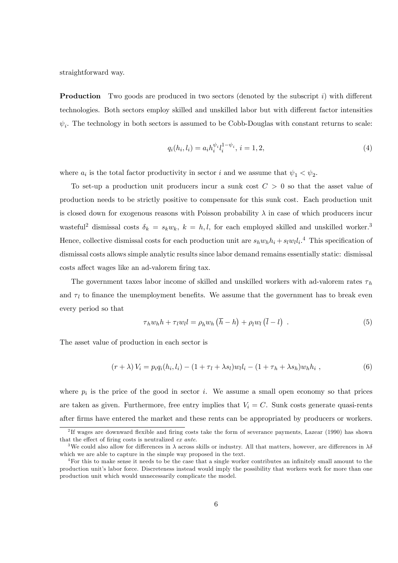straightforward way.

**Production** Two goods are produced in two sectors (denoted by the subscript  $i$ ) with different technologies. Both sectors employ skilled and unskilled labor but with different factor intensities  $\psi_i$ . The technology in both sectors is assumed to be Cobb-Douglas with constant returns to scale:

$$
q_i(h_i, l_i) = a_i h_i^{\psi_i} l_i^{1 - \psi_i}, \, i = 1, 2,\tag{4}
$$

where  $a_i$  is the total factor productivity in sector i and we assume that  $\psi_1 < \psi_2$ .

To set-up a production unit producers incur a sunk cost  $C > 0$  so that the asset value of production needs to be strictly positive to compensate for this sunk cost. Each production unit is closed down for exogenous reasons with Poisson probability  $\lambda$  in case of which producers incur wasteful<sup>2</sup> dismissal costs  $\delta_k = s_k w_k$ ,  $k = h, l$ , for each employed skilled and unskilled worker.<sup>3</sup> Hence, collective dismissal costs for each production unit are  $s_h w_h h_i + s_l w_l l_i$ .<sup>4</sup> This specification of dismissal costs allows simple analytic results since labor demand remains essentially static: dismissal costs affect wages like an ad-valorem firing tax.

The government taxes labor income of skilled and unskilled workers with ad-valorem rates  $\tau_h$ and  $\tau_l$  to finance the unemployment benefits. We assume that the government has to break even every period so that

$$
\tau_h w_h h + \tau_l w_l l = \rho_h w_h \left(\overline{h} - h\right) + \rho_l w_l \left(\overline{l} - l\right) \tag{5}
$$

The asset value of production in each sector is

$$
(r + \lambda) V_i = p_i q_i (h_i, l_i) - (1 + \tau_l + \lambda s_l) w_l l_i - (1 + \tau_h + \lambda s_h) w_h h_i , \qquad (6)
$$

where  $p_i$  is the price of the good in sector i. We assume a small open economy so that prices are taken as given. Furthermore, free entry implies that  $V_i = C$ . Sunk costs generate quasi-rents after Örms have entered the market and these rents can be appropriated by producers or workers.

<sup>&</sup>lt;sup>2</sup>If wages are downward flexible and firing costs take the form of severance payments, Lazear (1990) has shown that the effect of firing costs is neutralized  $ex$  ante.

<sup>&</sup>lt;sup>3</sup>We could also allow for differences in  $\lambda$  across skills or industry. All that matters, however, are differences in  $\lambda \delta$ which we are able to capture in the simple way proposed in the text.

<sup>&</sup>lt;sup>4</sup>For this to make sense it needs to be the case that a single worker contributes an infinitely small amount to the production unitís labor force. Discreteness instead would imply the possibility that workers work for more than one production unit which would unnecessarily complicate the model.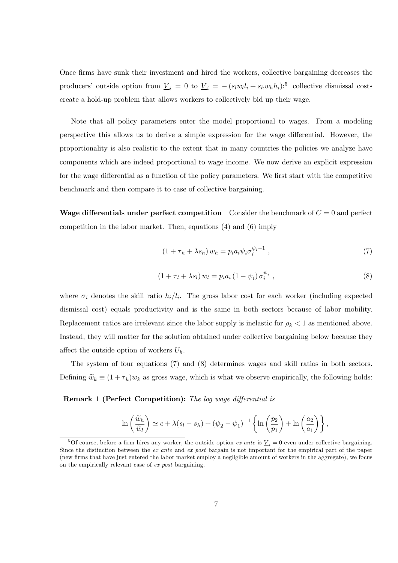Once firms have sunk their investment and hired the workers, collective bargaining decreases the producers' outside option from  $\underline{V}_i = 0$  to  $\underline{V}_i = -(s_l w_l l_i + s_h w_h h_i)$ :<sup>5</sup> collective dismissal costs create a hold-up problem that allows workers to collectively bid up their wage.

Note that all policy parameters enter the model proportional to wages. From a modeling perspective this allows us to derive a simple expression for the wage differential. However, the proportionality is also realistic to the extent that in many countries the policies we analyze have components which are indeed proportional to wage income. We now derive an explicit expression for the wage differential as a function of the policy parameters. We first start with the competitive benchmark and then compare it to case of collective bargaining.

Wage differentials under perfect competition Consider the benchmark of  $C = 0$  and perfect competition in the labor market. Then, equations (4) and (6) imply

$$
(1 + \tau_h + \lambda s_h) w_h = p_i a_i \psi_i \sigma_i^{\psi_i - 1} , \qquad (7)
$$

$$
(1 + \tau_l + \lambda s_l) w_l = p_i a_i (1 - \psi_i) \sigma_i^{\psi_i} , \qquad (8)
$$

where  $\sigma_i$  denotes the skill ratio  $h_i/l_i$ . The gross labor cost for each worker (including expected dismissal cost) equals productivity and is the same in both sectors because of labor mobility. Replacement ratios are irrelevant since the labor supply is inelastic for  $\rho_k < 1$  as mentioned above. Instead, they will matter for the solution obtained under collective bargaining below because they affect the outside option of workers  $U_k$ .

The system of four equations (7) and (8) determines wages and skill ratios in both sectors. Defining  $\tilde{w}_k \equiv (1 + \tau_k)w_k$  as gross wage, which is what we observe empirically, the following holds:

#### **Remark 1 (Perfect Competition):** The log wage differential is

$$
\ln\left(\frac{\widetilde{w}_h}{\widetilde{w}_l}\right) \simeq c + \lambda(s_l - s_h) + (\psi_2 - \psi_1)^{-1} \left\{ \ln\left(\frac{p_2}{p_1}\right) + \ln\left(\frac{a_2}{a_1}\right) \right\},\,
$$

<sup>&</sup>lt;sup>5</sup>Of course, before a firm hires any worker, the outside option *ex ante* is  $\underline{V}_i = 0$  even under collective bargaining. Since the distinction between the ex ante and ex post bargain is not important for the empirical part of the paper (new Örms that have just entered the labor market employ a negligible amount of workers in the aggregate), we focus on the empirically relevant case of ex post bargaining.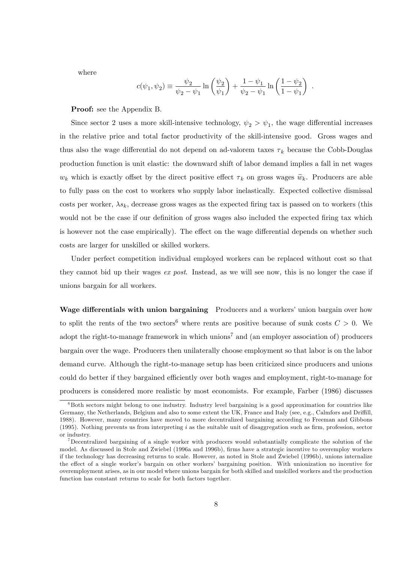where

$$
c(\psi_1, \psi_2) \equiv \frac{\psi_2}{\psi_2 - \psi_1} \ln \left( \frac{\psi_2}{\psi_1} \right) + \frac{1 - \psi_1}{\psi_2 - \psi_1} \ln \left( \frac{1 - \psi_2}{1 - \psi_1} \right) .
$$

Proof: see the Appendix B.

Since sector 2 uses a more skill-intensive technology,  $\psi_2 > \psi_1$ , the wage differential increases in the relative price and total factor productivity of the skill-intensive good. Gross wages and thus also the wage differential do not depend on ad-valorem taxes  $\tau_k$  because the Cobb-Douglas production function is unit elastic: the downward shift of labor demand implies a fall in net wages  $w_k$  which is exactly offset by the direct positive effect  $\tau_k$  on gross wages  $\widetilde{w}_k$ . Producers are able to fully pass on the cost to workers who supply labor inelastically. Expected collective dismissal costs per worker,  $\lambda s_k$ , decrease gross wages as the expected firing tax is passed on to workers (this would not be the case if our definition of gross wages also included the expected firing tax which is however not the case empirically). The effect on the wage differential depends on whether such costs are larger for unskilled or skilled workers.

Under perfect competition individual employed workers can be replaced without cost so that they cannot bid up their wages ex post. Instead, as we will see now, this is no longer the case if unions bargain for all workers.

Wage differentials with union bargaining Producers and a workers' union bargain over how to split the rents of the two sectors<sup>6</sup> where rents are positive because of sunk costs  $C > 0$ . We adopt the right-to-manage framework in which unions<sup>7</sup> and (an employer association of) producers bargain over the wage. Producers then unilaterally choose employment so that labor is on the labor demand curve. Although the right-to-manage setup has been criticized since producers and unions could do better if they bargained efficiently over both wages and employment, right-to-manage for producers is considered more realistic by most economists. For example, Farber (1986) discusses

 $6B<sub>6</sub>$  Both sectors might belong to one industry. Industry level bargaining is a good approximation for countries like Germany, the Netherlands, Belgium and also to some extent the UK, France and Italy (see, e.g., Calmfors and Driffill, 1988). However, many countries have moved to more decentralized bargaining according to Freeman and Gibbons (1995). Nothing prevents us from interpreting  $i$  as the suitable unit of disaggregation such as firm, profession, sector or industry.

<sup>7</sup>Decentralized bargaining of a single worker with producers would substantially complicate the solution of the model. As discussed in Stole and Zwiebel (1996a and 1996b), firms have a strategic incentive to overemploy workers if the technology has decreasing returns to scale. However, as noted in Stole and Zwiebel (1996b), unions internalize the effect of a single worker's bargain on other workers' bargaining position. With unionization no incentive for overemployment arises, as in our model where unions bargain for both skilled and unskilled workers and the production function has constant returns to scale for both factors together.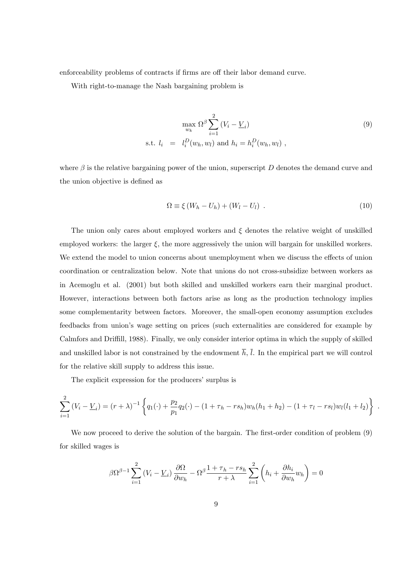enforceability problems of contracts if firms are off their labor demand curve.

With right-to-manage the Nash bargaining problem is

$$
\max_{w_k} \Omega^{\beta} \sum_{i=1}^2 (V_i - \underline{V}_i)
$$
\n
$$
\text{s.t. } l_i = l_i^D(w_h, w_l) \text{ and } h_i = h_i^D(w_h, w_l) ,
$$
\n
$$
(9)
$$

where  $\beta$  is the relative bargaining power of the union, superscript D denotes the demand curve and the union objective is defined as

$$
\Omega \equiv \xi \left( W_h - U_h \right) + \left( W_l - U_l \right) \ . \tag{10}
$$

.

The union only cares about employed workers and  $\xi$  denotes the relative weight of unskilled employed workers: the larger  $\xi$ , the more aggressively the union will bargain for unskilled workers. We extend the model to union concerns about unemployment when we discuss the effects of union coordination or centralization below. Note that unions do not cross-subsidize between workers as in Acemoglu et al. (2001) but both skilled and unskilled workers earn their marginal product. However, interactions between both factors arise as long as the production technology implies some complementarity between factors. Moreover, the small-open economy assumption excludes feedbacks from union's wage setting on prices (such externalities are considered for example by Calmfors and Driffill, 1988). Finally, we only consider interior optima in which the supply of skilled and unskilled labor is not constrained by the endowment  $\overline{h}$ ,  $\overline{l}$ . In the empirical part we will control for the relative skill supply to address this issue.

The explicit expression for the producers' surplus is

$$
\sum_{i=1}^{2} (V_i - \underline{V}_i) = (r + \lambda)^{-1} \left\{ q_1(\cdot) + \frac{p_2}{p_1} q_2(\cdot) - (1 + \tau_h - rs_h) w_h(h_1 + h_2) - (1 + \tau_l - rs_l) w_l(l_1 + l_2) \right\}
$$

We now proceed to derive the solution of the bargain. The first-order condition of problem (9) for skilled wages is

$$
\beta \Omega^{\beta - 1} \sum_{i=1}^{2} \left( V_i - \underline{V}_i \right) \frac{\partial \Omega}{\partial w_h} - \Omega^{\beta} \frac{1 + \tau_h - r s_h}{r + \lambda} \sum_{i=1}^{2} \left( h_i + \frac{\partial h_i}{\partial w_h} w_h \right) = 0
$$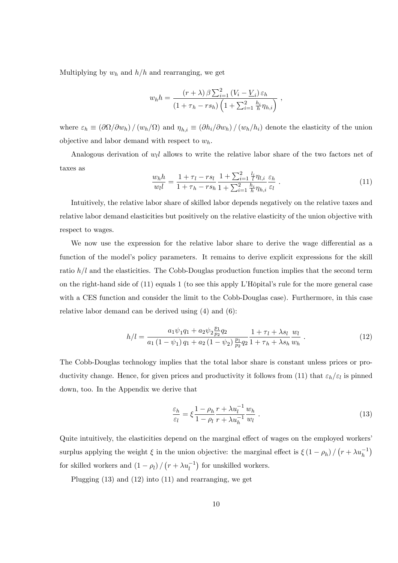Multiplying by  $w_h$  and  $h/h$  and rearranging, we get

$$
w_h h = \frac{(r+\lambda)\beta\sum_{i=1}^2 (V_i - \underline{V}_i)\varepsilon_h}{(1+\tau_h - rs_h)\left(1 + \sum_{i=1}^2 \frac{h_i}{h}\eta_{h,i}\right)} ,
$$

where  $\varepsilon_h \equiv (\partial \Omega/\partial w_h) / (w_h/\Omega)$  and  $\eta_{h,i} \equiv (\partial h_i/\partial w_h) / (w_h/h_i)$  denote the elasticity of the union objective and labor demand with respect to  $w_h$ .

Analogous derivation of  $w_l l$  allows to write the relative labor share of the two factors net of taxes as

$$
\frac{w_h h}{w_l l} = \frac{1 + \tau_l - rs_l}{1 + \tau_h - rs_h} \frac{1 + \sum_{i=1}^2 \frac{l_i}{l} \eta_{l,i}}{1 + \sum_{i=1}^2 \frac{h_i}{h} \eta_{h,i}} \frac{\varepsilon_h}{\varepsilon_l} \,. \tag{11}
$$

Intuitively, the relative labor share of skilled labor depends negatively on the relative taxes and relative labor demand elasticities but positively on the relative elasticity of the union objective with respect to wages.

We now use the expression for the relative labor share to derive the wage differential as a function of the model's policy parameters. It remains to derive explicit expressions for the skill ratio  $h/l$  and the elasticities. The Cobb-Douglas production function implies that the second term on the right-hand side of  $(11)$  equals 1 (to see this apply L'Hôpital's rule for the more general case with a CES function and consider the limit to the Cobb-Douglas case). Furthermore, in this case relative labor demand can be derived using (4) and (6):

$$
h/l = \frac{a_1 \psi_1 q_1 + a_2 \psi_2 \frac{p_1}{p_2} q_2}{a_1 \left(1 - \psi_1\right) q_1 + a_2 \left(1 - \psi_2\right) \frac{p_1}{p_2} q_2} \frac{1 + \tau_l + \lambda s_l}{1 + \tau_h + \lambda s_h} \frac{w_l}{w_h} \tag{12}
$$

The Cobb-Douglas technology implies that the total labor share is constant unless prices or productivity change. Hence, for given prices and productivity it follows from (11) that  $\varepsilon_h/\varepsilon_l$  is pinned down, too. In the Appendix we derive that

$$
\frac{\varepsilon_h}{\varepsilon_l} = \xi \frac{1 - \rho_h}{1 - \rho_l} \frac{r + \lambda u_l^{-1}}{r + \lambda u_h^{-1}} \frac{w_h}{w_l} \,. \tag{13}
$$

Quite intuitively, the elasticities depend on the marginal effect of wages on the employed workers' surplus applying the weight  $\xi$  in the union objective: the marginal effect is  $\xi(1-\rho_h)/(\tau+\lambda u_h^{-1})$ for skilled workers and  $(1 - \rho_l) / (r + \lambda u_l^{-1})$  for unskilled workers.

Plugging (13) and (12) into (11) and rearranging, we get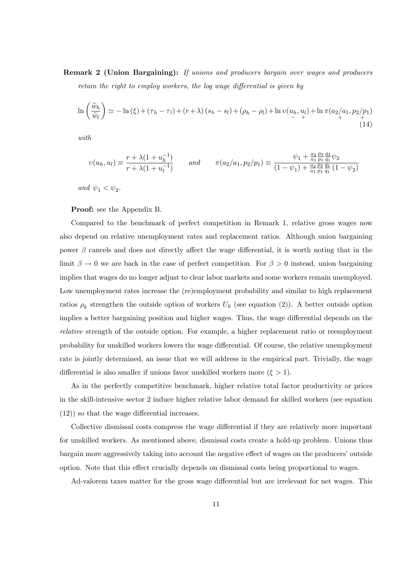Remark 2 (Union Bargaining): If unions and producers bargain over wages and producers retain the right to employ workers, the log wage differential is given by

$$
\ln\left(\frac{\widetilde{w}_h}{\widetilde{w}_l}\right) \simeq -\ln\left(\xi\right) + \left(\tau_h - \tau_l\right) + \left(r + \lambda\right)\left(s_h - s_l\right) + \left(\rho_h - \rho_l\right) + \ln v\left(\frac{u_h}{r} + \frac{u_l}{r}\right) + \ln \pi \left(\frac{a_2}{a_1}, \frac{p_2}{p_1}\right) \tag{14}
$$

with

$$
v(u_h, u_l) \equiv \frac{r + \lambda(1 + u_h^{-1})}{r + \lambda(1 + u_l^{-1})} \qquad \text{and} \qquad \pi(a_2/a_1, p_2/p_1) \equiv \frac{\psi_1 + \frac{a_2}{a_1} \frac{p_2}{p_1} \frac{q_2}{q_1}}{(1 - \psi_1) + \frac{a_2}{a_1} \frac{p_2}{p_1} \frac{q_2}{q_1}}(1 - \psi_2)}
$$

and  $\psi_1 < \psi_2$ .

Proof: see the Appendix B.

Compared to the benchmark of perfect competition in Remark 1, relative gross wages now also depend on relative unemployment rates and replacement ratios. Although union bargaining power  $\beta$  cancels and does not directly affect the wage differential, it is worth noting that in the limit  $\beta \to 0$  we are back in the case of perfect competition. For  $\beta > 0$  instead, union bargaining implies that wages do no longer adjust to clear labor markets and some workers remain unemployed. Low unemployment rates increase the (re)employment probability and similar to high replacement ratios  $\rho_k$  strengthen the outside option of workers  $U_k$  (see equation (2)). A better outside option implies a better bargaining position and higher wages. Thus, the wage differential depends on the relative strength of the outside option. For example, a higher replacement ratio or reemployment probability for unskilled workers lowers the wage differential. Of course, the relative unemployment rate is jointly determined, an issue that we will address in the empirical part. Trivially, the wage differential is also smaller if unions favor unskilled workers more  $(\xi > 1)$ .

As in the perfectly competitive benchmark, higher relative total factor productivity or prices in the skill-intensive sector 2 induce higher relative labor demand for skilled workers (see equation  $(12)$ ) so that the wage differential increases.

Collective dismissal costs compress the wage differential if they are relatively more important for unskilled workers. As mentioned above, dismissal costs create a hold-up problem. Unions thus bargain more aggressively taking into account the negative effect of wages on the producers' outside option. Note that this effect crucially depends on dismissal costs being proportional to wages.

Ad-valorem taxes matter for the gross wage differential but are irrelevant for net wages. This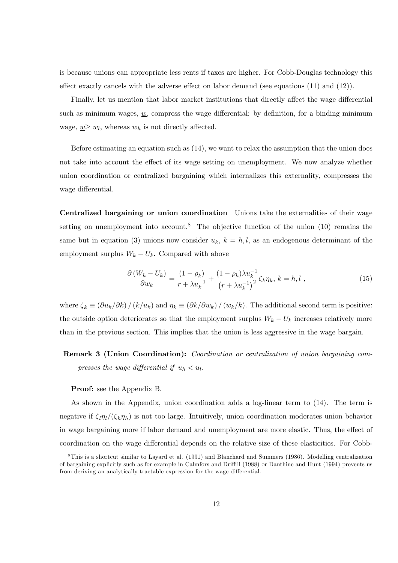is because unions can appropriate less rents if taxes are higher. For Cobb-Douglas technology this effect exactly cancels with the adverse effect on labor demand (see equations  $(11)$  and  $(12)$ ).

Finally, let us mention that labor market institutions that directly affect the wage differential such as minimum wages,  $w$ , compress the wage differential: by definition, for a binding minimum wage,  $\underline{w} \geq w_l$ , whereas  $w_h$  is not directly affected.

Before estimating an equation such as (14), we want to relax the assumption that the union does not take into account the effect of its wage setting on unemployment. We now analyze whether union coordination or centralized bargaining which internalizes this externality, compresses the wage differential.

Centralized bargaining or union coordination Unions take the externalities of their wage setting on unemployment into account.<sup>8</sup> The objective function of the union  $(10)$  remains the same but in equation (3) unions now consider  $u_k$ ,  $k = h, l$ , as an endogenous determinant of the employment surplus  $W_k - U_k$ . Compared with above

$$
\frac{\partial (W_k - U_k)}{\partial w_k} = \frac{(1 - \rho_k)}{r + \lambda u_k^{-1}} + \frac{(1 - \rho_k)\lambda u_k^{-1}}{(r + \lambda u_k^{-1})^2} \zeta_k \eta_k, \ k = h, l \ , \tag{15}
$$

where  $\zeta_k \equiv (\partial u_k/\partial k) / (k/u_k)$  and  $\eta_k \equiv (\partial k/\partial w_k) / (w_k/k)$ . The additional second term is positive: the outside option deteriorates so that the employment surplus  $W_k - U_k$  increases relatively more than in the previous section. This implies that the union is less aggressive in the wage bargain.

# Remark 3 (Union Coordination): Coordination or centralization of union bargaining compresses the wage differential if  $u_h < u_l$ .

#### Proof: see the Appendix B.

As shown in the Appendix, union coordination adds a log-linear term to (14). The term is negative if  $\zeta_l \eta_l/(\zeta_h \eta_h)$  is not too large. Intuitively, union coordination moderates union behavior in wage bargaining more if labor demand and unemployment are more elastic. Thus, the effect of coordination on the wage differential depends on the relative size of these elasticities. For Cobb-

<sup>&</sup>lt;sup>8</sup>This is a shortcut similar to Layard et al. (1991) and Blanchard and Summers (1986). Modelling centralization of bargaining explicitly such as for example in Calmfors and Driffill (1988) or Danthine and Hunt (1994) prevents us from deriving an analytically tractable expression for the wage differential.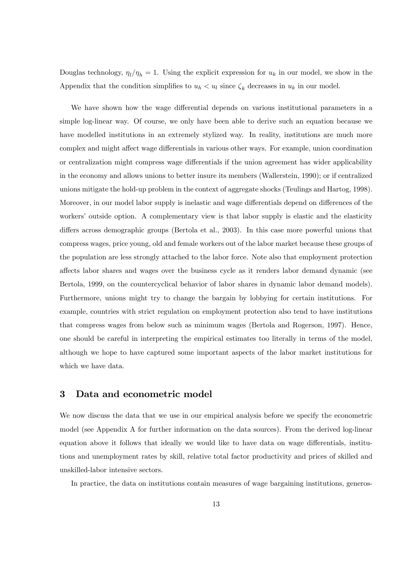Douglas technology,  $\eta_l/\eta_h = 1$ . Using the explicit expression for  $u_k$  in our model, we show in the Appendix that the condition simplifies to  $u_h < u_l$  since  $\zeta_k$  decreases in  $u_k$  in our model.

We have shown how the wage differential depends on various institutional parameters in a simple log-linear way. Of course, we only have been able to derive such an equation because we have modelled institutions in an extremely stylized way. In reality, institutions are much more complex and might affect wage differentials in various other ways. For example, union coordination or centralization might compress wage differentials if the union agreement has wider applicability in the economy and allows unions to better insure its members (Wallerstein, 1990); or if centralized unions mitigate the hold-up problem in the context of aggregate shocks (Teulings and Hartog, 1998). Moreover, in our model labor supply is inelastic and wage differentials depend on differences of the workers' outside option. A complementary view is that labor supply is elastic and the elasticity differs across demographic groups (Bertola et al., 2003). In this case more powerful unions that compress wages, price young, old and female workers out of the labor market because these groups of the population are less strongly attached to the labor force. Note also that employment protection a§ects labor shares and wages over the business cycle as it renders labor demand dynamic (see Bertola, 1999, on the countercyclical behavior of labor shares in dynamic labor demand models). Furthermore, unions might try to change the bargain by lobbying for certain institutions. For example, countries with strict regulation on employment protection also tend to have institutions that compress wages from below such as minimum wages (Bertola and Rogerson, 1997). Hence, one should be careful in interpreting the empirical estimates too literally in terms of the model, although we hope to have captured some important aspects of the labor market institutions for which we have data.

# 3 Data and econometric model

We now discuss the data that we use in our empirical analysis before we specify the econometric model (see Appendix A for further information on the data sources). From the derived log-linear equation above it follows that ideally we would like to have data on wage differentials, institutions and unemployment rates by skill, relative total factor productivity and prices of skilled and unskilled-labor intensive sectors.

In practice, the data on institutions contain measures of wage bargaining institutions, generos-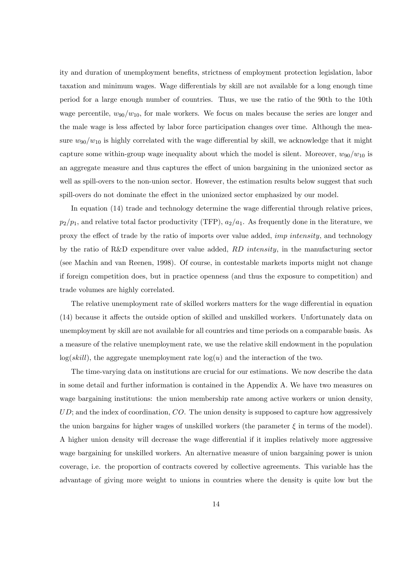ity and duration of unemployment benefits, strictness of employment protection legislation, labor taxation and minimum wages. Wage differentials by skill are not available for a long enough time period for a large enough number of countries. Thus, we use the ratio of the 90th to the 10th wage percentile,  $w_{90}/w_{10}$ , for male workers. We focus on males because the series are longer and the male wage is less affected by labor force participation changes over time. Although the measure  $w_{90}/w_{10}$  is highly correlated with the wage differential by skill, we acknowledge that it might capture some within-group wage inequality about which the model is silent. Moreover,  $w_{90}/w_{10}$  is an aggregate measure and thus captures the effect of union bargaining in the unionized sector as well as spill-overs to the non-union sector. However, the estimation results below suggest that such spill-overs do not dominate the effect in the unionized sector emphasized by our model.

In equation  $(14)$  trade and technology determine the wage differential through relative prices,  $p_2/p_1$ , and relative total factor productivity (TFP),  $a_2/a_1$ . As frequently done in the literature, we proxy the effect of trade by the ratio of imports over value added, *imp intensity*, and technology by the ratio of R&D expenditure over value added,  $RD$  intensity, in the manufacturing sector (see Machin and van Reenen, 1998). Of course, in contestable markets imports might not change if foreign competition does, but in practice openness (and thus the exposure to competition) and trade volumes are highly correlated.

The relative unemployment rate of skilled workers matters for the wage differential in equation (14) because it affects the outside option of skilled and unskilled workers. Unfortunately data on unemployment by skill are not available for all countries and time periods on a comparable basis. As a measure of the relative unemployment rate, we use the relative skill endowment in the population  $log(skill)$ , the aggregate unemployment rate  $log(u)$  and the interaction of the two.

The time-varying data on institutions are crucial for our estimations. We now describe the data in some detail and further information is contained in the Appendix A. We have two measures on wage bargaining institutions: the union membership rate among active workers or union density,  $UD$ ; and the index of coordination,  $CO$ . The union density is supposed to capture how aggressively the union bargains for higher wages of unskilled workers (the parameter  $\xi$  in terms of the model). A higher union density will decrease the wage differential if it implies relatively more aggressive wage bargaining for unskilled workers. An alternative measure of union bargaining power is union coverage, i.e. the proportion of contracts covered by collective agreements. This variable has the advantage of giving more weight to unions in countries where the density is quite low but the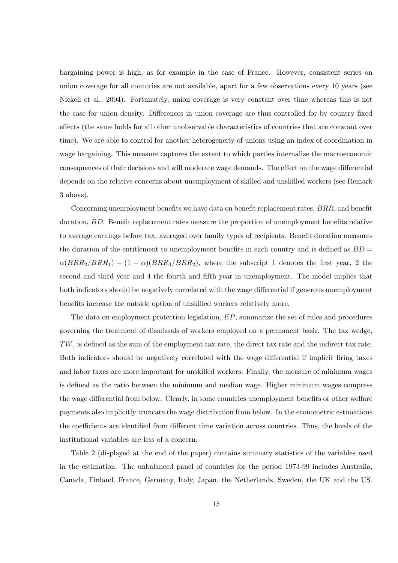bargaining power is high, as for example in the case of France. However, consistent series on union coverage for all countries are not available, apart for a few observations every 10 years (see Nickell et al., 2004). Fortunately, union coverage is very constant over time whereas this is not the case for union density. Differences in union coverage are thus controlled for by country fixed effects (the same holds for all other unobservable characteristics of countries that are constant over time). We are able to control for another heterogeneity of unions using an index of coordination in wage bargaining. This measure captures the extent to which parties internalize the macroeconomic consequences of their decisions and will moderate wage demands. The effect on the wage differential depends on the relative concerns about unemployment of skilled and unskilled workers (see Remark 3 above).

Concerning unemployment benefits we have data on benefit replacement rates,  $BRR$ , and benefit duration,  $BD$ . Benefit replacement rates measure the proportion of unemployment benefits relative to average earnings before tax, averaged over family types of recipients. Benefit duration measures the duration of the entitlement to unemployment benefits in each country and is defined as  $BD =$  $\alpha(BRR_2/BRR_1) + (1 - \alpha)(BRR_4/BRR_2)$ , where the subscript 1 denotes the first year, 2 the second and third year and 4 the fourth and fifth year in unemployment. The model implies that both indicators should be negatively correlated with the wage differential if generous unemployment benefits increase the outside option of unskilled workers relatively more.

The data on employment protection legislation, EP, summarize the set of rules and procedures governing the treatment of dismissals of workers employed on a permanent basis. The tax wedge,  $TW$ , is defined as the sum of the employment tax rate, the direct tax rate and the indirect tax rate. Both indicators should be negatively correlated with the wage differential if implicit firing taxes and labor taxes are more important for unskilled workers. Finally, the measure of minimum wages is defined as the ratio between the minimum and median wage. Higher minimum wages compress the wage differential from below. Clearly, in some countries unemployment benefits or other welfare payments also implicitly truncate the wage distribution from below. In the econometric estimations the coefficients are identified from different time variation across countries. Thus, the levels of the institutional variables are less of a concern.

Table 2 (displayed at the end of the paper) contains summary statistics of the variables used in the estimation. The unbalanced panel of countries for the period 1973-99 includes Australia, Canada, Finland, France, Germany, Italy, Japan, the Netherlands, Sweden, the UK and the US.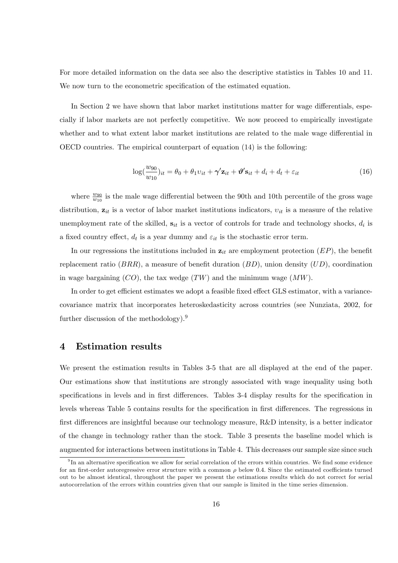For more detailed information on the data see also the descriptive statistics in Tables 10 and 11. We now turn to the econometric specification of the estimated equation.

In Section 2 we have shown that labor market institutions matter for wage differentials, especially if labor markets are not perfectly competitive. We now proceed to empirically investigate whether and to what extent labor market institutions are related to the male wage differential in OECD countries. The empirical counterpart of equation (14) is the following:

$$
\log(\frac{w_{90}}{w_{10}})_{it} = \theta_0 + \theta_1 v_{it} + \gamma' \mathbf{z}_{it} + \boldsymbol{\vartheta'} \mathbf{s}_{it} + d_i + d_t + \varepsilon_{it}
$$
\n(16)

where  $\frac{w_{90}}{w_{10}}$  is the male wage differential between the 90th and 10th percentile of the gross wage distribution,  $z_{it}$  is a vector of labor market institutions indicators,  $v_{it}$  is a measure of the relative unemployment rate of the skilled,  $s_{it}$  is a vector of controls for trade and technology shocks,  $d_i$  is a fixed country effect,  $d_t$  is a year dummy and  $\varepsilon_{it}$  is the stochastic error term.

In our regressions the institutions included in  $z_{it}$  are employment protection  $(EP)$ , the benefit replacement ratio  $(BRR)$ , a measure of benefit duration  $(BD)$ , union density  $(UD)$ , coordination in wage bargaining  $(CO)$ , the tax wedge  $(TW)$  and the minimum wage  $(MW)$ .

In order to get efficient estimates we adopt a feasible fixed effect GLS estimator, with a variancecovariance matrix that incorporates heteroskedasticity across countries (see Nunziata, 2002, for further discussion of the methodology).<sup>9</sup>

# 4 Estimation results

We present the estimation results in Tables 3-5 that are all displayed at the end of the paper. Our estimations show that institutions are strongly associated with wage inequality using both specifications in levels and in first differences. Tables 3-4 display results for the specification in levels whereas Table 5 contains results for the specification in first differences. The regressions in first differences are insightful because our technology measure,  $R\&D$  intensity, is a better indicator of the change in technology rather than the stock. Table 3 presents the baseline model which is augmented for interactions between institutions in Table 4. This decreases our sample size since such

 $^{9}$ In an alternative specification we allow for serial correlation of the errors within countries. We find some evidence for an first-order autoregressive error structure with a common  $\rho$  below 0.4. Since the estimated coefficients turned out to be almost identical, throughout the paper we present the estimations results which do not correct for serial autocorrelation of the errors within countries given that our sample is limited in the time series dimension.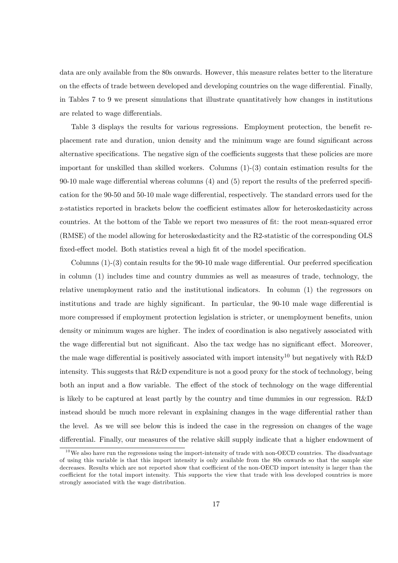data are only available from the 80s onwards. However, this measure relates better to the literature on the effects of trade between developed and developing countries on the wage differential. Finally, in Tables 7 to 9 we present simulations that illustrate quantitatively how changes in institutions are related to wage differentials.

Table 3 displays the results for various regressions. Employment protection, the benefit replacement rate and duration, union density and the minimum wage are found significant across alternative specifications. The negative sign of the coefficients suggests that these policies are more important for unskilled than skilled workers. Columns (1)-(3) contain estimation results for the 90-10 male wage differential whereas columns  $(4)$  and  $(5)$  report the results of the preferred specification for the 90-50 and 50-10 male wage differential, respectively. The standard errors used for the z-statistics reported in brackets below the coefficient estimates allow for heteroskedasticity across countries. At the bottom of the Table we report two measures of fit: the root mean-squared error (RMSE) of the model allowing for heteroskedasticity and the R2-statistic of the corresponding OLS fixed-effect model. Both statistics reveal a high fit of the model specification.

Columns  $(1)-(3)$  contain results for the 90-10 male wage differential. Our preferred specification in column (1) includes time and country dummies as well as measures of trade, technology, the relative unemployment ratio and the institutional indicators. In column (1) the regressors on institutions and trade are highly significant. In particular, the 90-10 male wage differential is more compressed if employment protection legislation is stricter, or unemployment benefits, union density or minimum wages are higher. The index of coordination is also negatively associated with the wage differential but not significant. Also the tax wedge has no significant effect. Moreover, the male wage differential is positively associated with import intensity<sup>10</sup> but negatively with R&D intensity. This suggests that R&D expenditure is not a good proxy for the stock of technology, being both an input and a flow variable. The effect of the stock of technology on the wage differential is likely to be captured at least partly by the country and time dummies in our regression. R&D instead should be much more relevant in explaining changes in the wage differential rather than the level. As we will see below this is indeed the case in the regression on changes of the wage differential. Finally, our measures of the relative skill supply indicate that a higher endowment of

 $10$  We also have run the regressions using the import-intensity of trade with non-OECD countries. The disadvantage of using this variable is that this import intensity is only available from the 80s onwards so that the sample size decreases. Results which are not reported show that coefficient of the non-OECD import intensity is larger than the coefficient for the total import intensity. This supports the view that trade with less developed countries is more strongly associated with the wage distribution.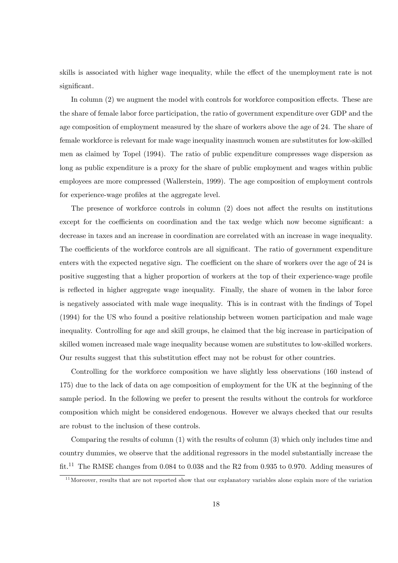skills is associated with higher wage inequality, while the effect of the unemployment rate is not significant.

In column  $(2)$  we augment the model with controls for workforce composition effects. These are the share of female labor force participation, the ratio of government expenditure over GDP and the age composition of employment measured by the share of workers above the age of 24. The share of female workforce is relevant for male wage inequality inasmuch women are substitutes for low-skilled men as claimed by Topel (1994). The ratio of public expenditure compresses wage dispersion as long as public expenditure is a proxy for the share of public employment and wages within public employees are more compressed (Wallerstein, 1999). The age composition of employment controls for experience-wage profiles at the aggregate level.

The presence of workforce controls in column  $(2)$  does not affect the results on institutions except for the coefficients on coordination and the tax wedge which now become significant: a decrease in taxes and an increase in coordination are correlated with an increase in wage inequality. The coefficients of the workforce controls are all significant. The ratio of government expenditure enters with the expected negative sign. The coefficient on the share of workers over the age of 24 is positive suggesting that a higher proportion of workers at the top of their experience-wage profile is reflected in higher aggregate wage inequality. Finally, the share of women in the labor force is negatively associated with male wage inequality. This is in contrast with the findings of Topel (1994) for the US who found a positive relationship between women participation and male wage inequality. Controlling for age and skill groups, he claimed that the big increase in participation of skilled women increased male wage inequality because women are substitutes to low-skilled workers. Our results suggest that this substitution effect may not be robust for other countries.

Controlling for the workforce composition we have slightly less observations (160 instead of 175) due to the lack of data on age composition of employment for the UK at the beginning of the sample period. In the following we prefer to present the results without the controls for workforce composition which might be considered endogenous. However we always checked that our results are robust to the inclusion of these controls.

Comparing the results of column (1) with the results of column (3) which only includes time and country dummies, we observe that the additional regressors in the model substantially increase the  $fit.<sup>11</sup>$  The RMSE changes from 0.084 to 0.038 and the R2 from 0.935 to 0.970. Adding measures of

 $11$  Moreover, results that are not reported show that our explanatory variables alone explain more of the variation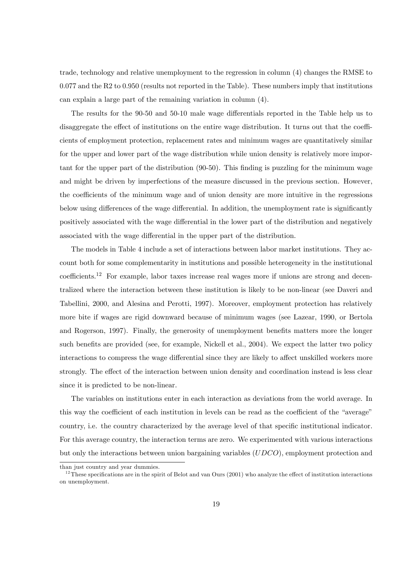trade, technology and relative unemployment to the regression in column (4) changes the RMSE to 0.077 and the R2 to 0.950 (results not reported in the Table). These numbers imply that institutions can explain a large part of the remaining variation in column (4).

The results for the 90-50 and 50-10 male wage differentials reported in the Table help us to disaggregate the effect of institutions on the entire wage distribution. It turns out that the coefficients of employment protection, replacement rates and minimum wages are quantitatively similar for the upper and lower part of the wage distribution while union density is relatively more important for the upper part of the distribution (90-50). This finding is puzzling for the minimum wage and might be driven by imperfections of the measure discussed in the previous section. However, the coefficients of the minimum wage and of union density are more intuitive in the regressions below using differences of the wage differential. In addition, the unemployment rate is significantly positively associated with the wage differential in the lower part of the distribution and negatively associated with the wage differential in the upper part of the distribution.

The models in Table 4 include a set of interactions between labor market institutions. They account both for some complementarity in institutions and possible heterogeneity in the institutional  $\text{coefficients}.^{12}$  For example, labor taxes increase real wages more if unions are strong and decentralized where the interaction between these institution is likely to be non-linear (see Daveri and Tabellini, 2000, and Alesina and Perotti, 1997). Moreover, employment protection has relatively more bite if wages are rigid downward because of minimum wages (see Lazear, 1990, or Bertola and Rogerson, 1997). Finally, the generosity of unemployment benefits matters more the longer such benefits are provided (see, for example, Nickell et al., 2004). We expect the latter two policy interactions to compress the wage differential since they are likely to affect unskilled workers more strongly. The effect of the interaction between union density and coordination instead is less clear since it is predicted to be non-linear.

The variables on institutions enter in each interaction as deviations from the world average. In this way the coefficient of each institution in levels can be read as the coefficient of the "average" country, i.e. the country characterized by the average level of that specific institutional indicator. For this average country, the interaction terms are zero. We experimented with various interactions but only the interactions between union bargaining variables (UDCO), employment protection and

than just country and year dummies.

 $12$ These specifications are in the spirit of Belot and van Ours (2001) who analyze the effect of institution interactions on unemployment.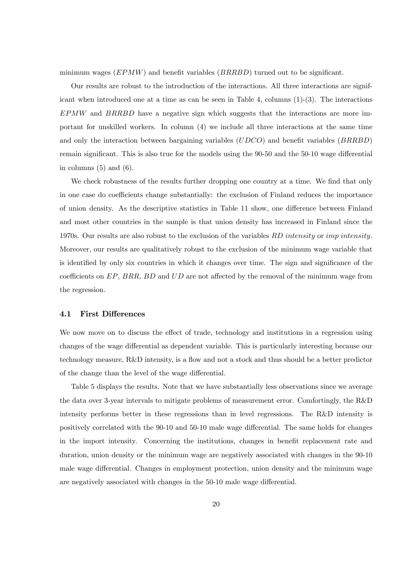minimum wages  $(EPMW)$  and benefit variables  $(BRRBD)$  turned out to be significant.

Our results are robust to the introduction of the interactions. All three interactions are significant when introduced one at a time as can be seen in Table 4, columns (1)-(3). The interactions EPMW and BRRBD have a negative sign which suggests that the interactions are more important for unskilled workers. In column (4) we include all three interactions at the same time and only the interaction between bargaining variables  $(UDCO)$  and benefit variables  $(BRRBD)$ remain significant. This is also true for the models using the 90-50 and the 50-10 wage differential in columns  $(5)$  and  $(6)$ .

We check robustness of the results further dropping one country at a time. We find that only in one case do coefficients change substantially: the exclusion of Finland reduces the importance of union density. As the descriptive statistics in Table 11 show, one difference between Finland and most other countries in the sample is that union density has increased in Finland since the 1970s. Our results are also robust to the exclusion of the variables RD intensity or imp intensity. Moreover, our results are qualitatively robust to the exclusion of the minimum wage variable that is identified by only six countries in which it changes over time. The sign and significance of the coefficients on  $EP$ ,  $BRR$ ,  $BD$  and  $UD$  are not affected by the removal of the minimum wage from the regression.

### 4.1 First Differences

We now move on to discuss the effect of trade, technology and institutions in a regression using changes of the wage differential as dependent variable. This is particularly interesting because our technology measure,  $R\&D$  intensity, is a flow and not a stock and thus should be a better predictor of the change than the level of the wage differential.

Table 5 displays the results. Note that we have substantially less observations since we average the data over 3-year intervals to mitigate problems of measurement error. Comfortingly, the R&D intensity performs better in these regressions than in level regressions. The R&D intensity is positively correlated with the 90-10 and 50-10 male wage differential. The same holds for changes in the import intensity. Concerning the institutions, changes in benefit replacement rate and duration, union density or the minimum wage are negatively associated with changes in the 90-10 male wage differential. Changes in employment protection, union density and the minimum wage are negatively associated with changes in the  $50-10$  male wage differential.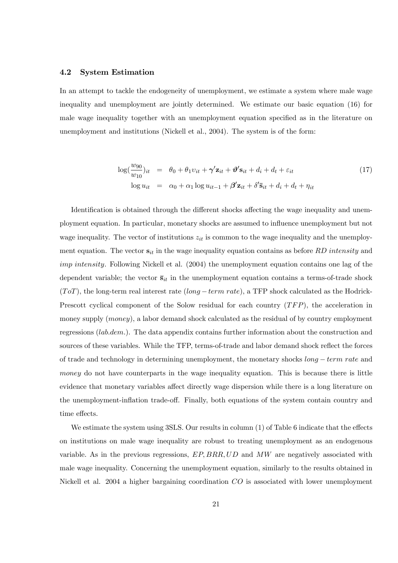#### 4.2 System Estimation

In an attempt to tackle the endogeneity of unemployment, we estimate a system where male wage inequality and unemployment are jointly determined. We estimate our basic equation (16) for male wage inequality together with an unemployment equation specified as in the literature on unemployment and institutions (Nickell et al., 2004). The system is of the form:

$$
\log(\frac{w_{90}}{w_{10}})_{it} = \theta_0 + \theta_1 v_{it} + \gamma' \mathbf{z}_{it} + \boldsymbol{\vartheta}' \mathbf{s}_{it} + d_i + d_t + \varepsilon_{it}
$$
  

$$
\log u_{it} = \alpha_0 + \alpha_1 \log u_{it-1} + \boldsymbol{\beta}' \mathbf{z}_{it} + \delta' \bar{\mathbf{s}}_{it} + d_i + d_t + \eta_{it}
$$
 (17)

Identification is obtained through the different shocks affecting the wage inequality and unemployment equation. In particular, monetary shocks are assumed to ináuence unemployment but not wage inequality. The vector of institutions  $z_{it}$  is common to the wage inequality and the unemployment equation. The vector  $s_{it}$  in the wage inequality equation contains as before RD intensity and imp intensity. Following Nickell et al.  $(2004)$  the unemployment equation contains one lag of the dependent variable; the vector  $\bar{\mathbf{s}}_{it}$  in the unemployment equation contains a terms-of-trade shock  $(ToT)$ , the long-term real interest rate (long – term rate), a TFP shock calculated as the Hodrick-Prescott cyclical component of the Solow residual for each country  $(TFP)$ , the acceleration in money supply  $(money)$ , a labor demand shock calculated as the residual of by country employment regressions (lab.dem.). The data appendix contains further information about the construction and sources of these variables. While the TFP, terms-of-trade and labor demand shock reflect the forces of trade and technology in determining unemployment, the monetary shocks  $long-term rate$  and money do not have counterparts in the wage inequality equation. This is because there is little evidence that monetary variables affect directly wage dispersion while there is a long literature on the unemployment-inflation trade-off. Finally, both equations of the system contain country and time effects.

We estimate the system using  $3SLS$ . Our results in column (1) of Table 6 indicate that the effects on institutions on male wage inequality are robust to treating unemployment as an endogenous variable. As in the previous regressions,  $EP, BRR, UD$  and  $MW$  are negatively associated with male wage inequality. Concerning the unemployment equation, similarly to the results obtained in Nickell et al. 2004 a higher bargaining coordination CO is associated with lower unemployment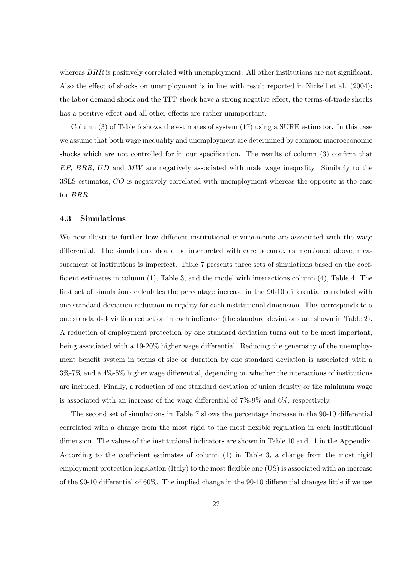whereas  $BRR$  is positively correlated with unemployment. All other institutions are not significant. Also the effect of shocks on unemployment is in line with result reported in Nickell et al.  $(2004)$ : the labor demand shock and the TFP shock have a strong negative effect, the terms-of-trade shocks has a positive effect and all other effects are rather unimportant.

Column (3) of Table 6 shows the estimates of system (17) using a SURE estimator. In this case we assume that both wage inequality and unemployment are determined by common macroeconomic shocks which are not controlled for in our specification. The results of column  $(3)$  confirm that  $EP, BRR, UD$  and  $MW$  are negatively associated with male wage inequality. Similarly to the 3SLS estimates, CO is negatively correlated with unemployment whereas the opposite is the case for BRR.

#### 4.3 Simulations

We now illustrate further how different institutional environments are associated with the wage differential. The simulations should be interpreted with care because, as mentioned above, measurement of institutions is imperfect. Table 7 presents three sets of simulations based on the coefficient estimates in column  $(1)$ , Table 3, and the model with interactions column  $(4)$ , Table 4. The first set of simulations calculates the percentage increase in the 90-10 differential correlated with one standard-deviation reduction in rigidity for each institutional dimension. This corresponds to a one standard-deviation reduction in each indicator (the standard deviations are shown in Table 2). A reduction of employment protection by one standard deviation turns out to be most important, being associated with a 19-20% higher wage differential. Reducing the generosity of the unemployment benefit system in terms of size or duration by one standard deviation is associated with a  $3\%$ -7% and a  $4\%$ -5% higher wage differential, depending on whether the interactions of institutions are included. Finally, a reduction of one standard deviation of union density or the minimum wage is associated with an increase of the wage differential of  $7\%$ -9% and 6%, respectively.

The second set of simulations in Table 7 shows the percentage increase in the 90-10 differential correlated with a change from the most rigid to the most flexible regulation in each institutional dimension. The values of the institutional indicators are shown in Table 10 and 11 in the Appendix. According to the coefficient estimates of column  $(1)$  in Table 3, a change from the most rigid employment protection legislation (Italy) to the most flexible one (US) is associated with an increase of the 90-10 differential of 60%. The implied change in the 90-10 differential changes little if we use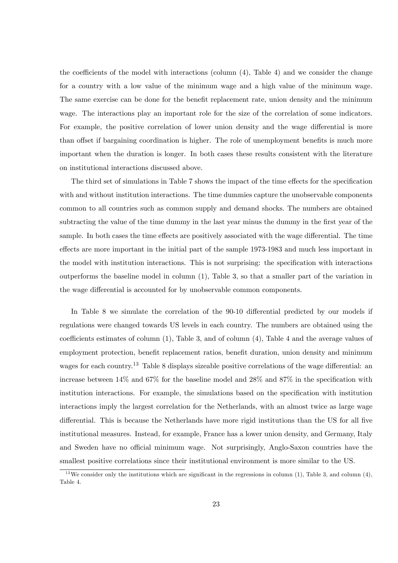the coefficients of the model with interactions (column  $(4)$ , Table 4) and we consider the change for a country with a low value of the minimum wage and a high value of the minimum wage. The same exercise can be done for the benefit replacement rate, union density and the minimum wage. The interactions play an important role for the size of the correlation of some indicators. For example, the positive correlation of lower union density and the wage differential is more than offset if bargaining coordination is higher. The role of unemployment benefits is much more important when the duration is longer. In both cases these results consistent with the literature on institutional interactions discussed above.

The third set of simulations in Table 7 shows the impact of the time effects for the specification with and without institution interactions. The time dummies capture the unobservable components common to all countries such as common supply and demand shocks. The numbers are obtained subtracting the value of the time dummy in the last year minus the dummy in the first year of the sample. In both cases the time effects are positively associated with the wage differential. The time effects are more important in the initial part of the sample 1973-1983 and much less important in the model with institution interactions. This is not surprising: the specification with interactions outperforms the baseline model in column (1), Table 3, so that a smaller part of the variation in the wage differential is accounted for by unobservable common components.

In Table 8 we simulate the correlation of the  $90-10$  differential predicted by our models if regulations were changed towards US levels in each country. The numbers are obtained using the coefficients estimates of column  $(1)$ , Table 3, and of column  $(4)$ , Table 4 and the average values of employment protection, benefit replacement ratios, benefit duration, union density and minimum wages for each country.<sup>13</sup> Table 8 displays sizeable positive correlations of the wage differential: an increase between  $14\%$  and  $67\%$  for the baseline model and  $28\%$  and  $87\%$  in the specification with institution interactions. For example, the simulations based on the specification with institution interactions imply the largest correlation for the Netherlands, with an almost twice as large wage differential. This is because the Netherlands have more rigid institutions than the US for all five institutional measures. Instead, for example, France has a lower union density, and Germany, Italy and Sweden have no official minimum wage. Not surprisingly, Anglo-Saxon countries have the smallest positive correlations since their institutional environment is more similar to the US.

 $13$  We consider only the institutions which are significant in the regressions in column (1), Table 3, and column (4), Table 4.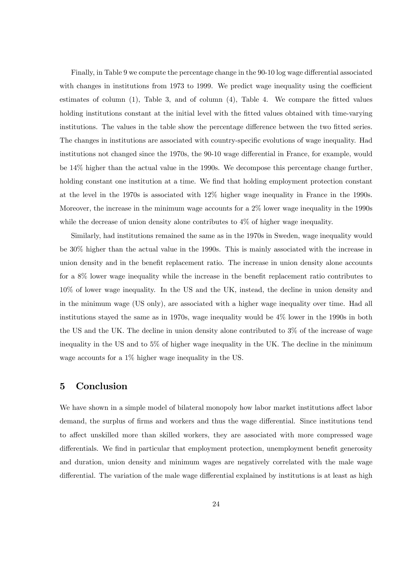Finally, in Table 9 we compute the percentage change in the 90-10 log wage differential associated with changes in institutions from 1973 to 1999. We predict wage inequality using the coefficient estimates of column  $(1)$ , Table 3, and of column  $(4)$ , Table 4. We compare the fitted values holding institutions constant at the initial level with the fitted values obtained with time-varying institutions. The values in the table show the percentage difference between the two fitted series. The changes in institutions are associated with country-specific evolutions of wage inequality. Had institutions not changed since the 1970s, the 90-10 wage differential in France, for example, would be 14% higher than the actual value in the 1990s. We decompose this percentage change further, holding constant one institution at a time. We find that holding employment protection constant at the level in the 1970s is associated with 12% higher wage inequality in France in the 1990s. Moreover, the increase in the minimum wage accounts for a 2% lower wage inequality in the 1990s while the decrease of union density alone contributes to 4% of higher wage inequality.

Similarly, had institutions remained the same as in the 1970s in Sweden, wage inequality would be 30% higher than the actual value in the 1990s. This is mainly associated with the increase in union density and in the benefit replacement ratio. The increase in union density alone accounts for a  $8\%$  lower wage inequality while the increase in the benefit replacement ratio contributes to 10% of lower wage inequality. In the US and the UK, instead, the decline in union density and in the minimum wage (US only), are associated with a higher wage inequality over time. Had all institutions stayed the same as in 1970s, wage inequality would be 4% lower in the 1990s in both the US and the UK. The decline in union density alone contributed to 3% of the increase of wage inequality in the US and to 5% of higher wage inequality in the UK. The decline in the minimum wage accounts for a 1% higher wage inequality in the US.

# 5 Conclusion

We have shown in a simple model of bilateral monopoly how labor market institutions affect labor demand, the surplus of firms and workers and thus the wage differential. Since institutions tend to affect unskilled more than skilled workers, they are associated with more compressed wage differentials. We find in particular that employment protection, unemployment benefit generosity and duration, union density and minimum wages are negatively correlated with the male wage differential. The variation of the male wage differential explained by institutions is at least as high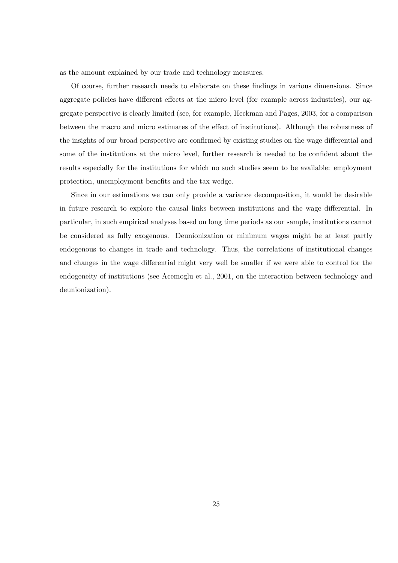as the amount explained by our trade and technology measures.

Of course, further research needs to elaborate on these findings in various dimensions. Since aggregate policies have different effects at the micro level (for example across industries), our aggregate perspective is clearly limited (see, for example, Heckman and Pages, 2003, for a comparison between the macro and micro estimates of the effect of institutions). Although the robustness of the insights of our broad perspective are confirmed by existing studies on the wage differential and some of the institutions at the micro level, further research is needed to be confident about the results especially for the institutions for which no such studies seem to be available: employment protection, unemployment benefits and the tax wedge.

Since in our estimations we can only provide a variance decomposition, it would be desirable in future research to explore the causal links between institutions and the wage differential. In particular, in such empirical analyses based on long time periods as our sample, institutions cannot be considered as fully exogenous. Deunionization or minimum wages might be at least partly endogenous to changes in trade and technology. Thus, the correlations of institutional changes and changes in the wage differential might very well be smaller if we were able to control for the endogeneity of institutions (see Acemoglu et al., 2001, on the interaction between technology and deunionization).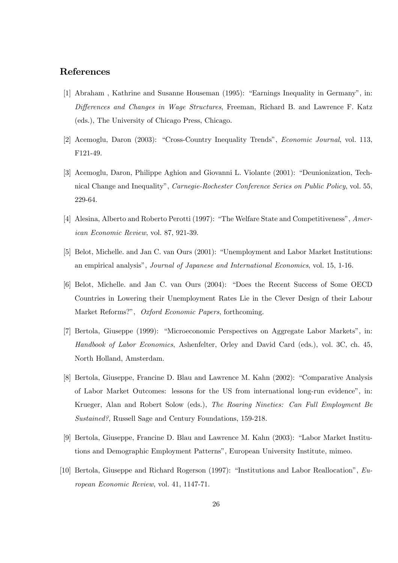# References

- [1] Abraham, Kathrine and Susanne Houseman (1995): "Earnings Inequality in Germany", in: Differences and Changes in Wage Structures, Freeman, Richard B. and Lawrence F. Katz (eds.), The University of Chicago Press, Chicago.
- [2] Acemoglu, Daron (2003): "Cross-Country Inequality Trends", *Economic Journal*, vol. 113, F121-49.
- [3] Acemoglu, Daron, Philippe Aghion and Giovanni L. Violante (2001): "Deunionization, Technical Change and Inequality", Carnegie-Rochester Conference Series on Public Policy, vol. 55, 229-64.
- [4] Alesina, Alberto and Roberto Perotti (1997): "The Welfare State and Competitiveness", American Economic Review, vol. 87, 921-39.
- [5] Belot, Michelle. and Jan C. van Ours (2001): "Unemployment and Labor Market Institutions: an empirical analysisî, Journal of Japanese and International Economics, vol. 15, 1-16.
- [6] Belot, Michelle. and Jan C. van Ours (2004): "Does the Recent Success of Some OECD Countries in Lowering their Unemployment Rates Lie in the Clever Design of their Labour Market Reforms?", Oxford Economic Papers, forthcoming.
- [7] Bertola, Giuseppe (1999): "Microeconomic Perspectives on Aggregate Labor Markets", in: Handbook of Labor Economics, Ashenfelter, Orley and David Card (eds.), vol. 3C, ch. 45, North Holland, Amsterdam.
- [8] Bertola, Giuseppe, Francine D. Blau and Lawrence M. Kahn (2002): "Comparative Analysis of Labor Market Outcomes: lessons for the US from international long-run evidence", in: Krueger, Alan and Robert Solow (eds.), The Roaring Nineties: Can Full Employment Be Sustained?, Russell Sage and Century Foundations, 159-218.
- [9] Bertola, Giuseppe, Francine D. Blau and Lawrence M. Kahn (2003): "Labor Market Institutions and Demographic Employment Patternsî, European University Institute, mimeo.
- [10] Bertola, Giuseppe and Richard Rogerson (1997): "Institutions and Labor Reallocation",  $Eu$ ropean Economic Review, vol. 41, 1147-71.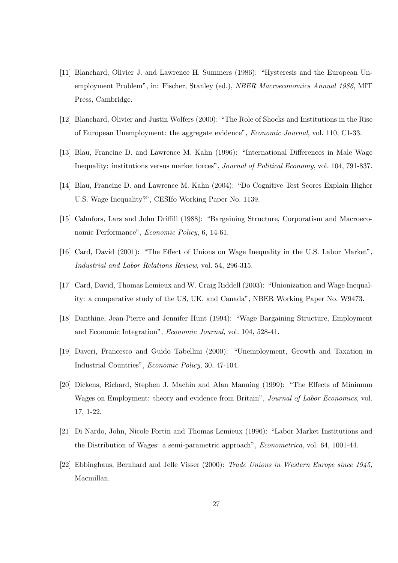- [11] Blanchard, Olivier J. and Lawrence H. Summers (1986): "Hysteresis and the European Unemployment Problemî, in: Fischer, Stanley (ed.), NBER Macroeconomics Annual 1986, MIT Press, Cambridge.
- [12] Blanchard, Olivier and Justin Wolfers (2000): "The Role of Shocks and Institutions in the Rise of European Unemployment: the aggregate evidenceî, Economic Journal, vol. 110, C1-33.
- [13] Blau, Francine D. and Lawrence M. Kahn (1996): "International Differences in Male Wage Inequality: institutions versus market forces", Journal of Political Economy, vol. 104, 791-837.
- [14] Blau, Francine D. and Lawrence M. Kahn (2004): "Do Cognitive Test Scores Explain Higher U.S. Wage Inequality?", CESIfo Working Paper No. 1139.
- [15] Calmfors, Lars and John Driffill (1988): "Bargaining Structure, Corporatism and Macroeconomic Performance", Economic Policy, 6, 14-61.
- [16] Card, David (2001): "The Effect of Unions on Wage Inequality in the U.S. Labor Market", Industrial and Labor Relations Review, vol. 54, 296-315.
- [17] Card, David, Thomas Lemieux and W. Craig Riddell (2003): "Unionization and Wage Inequality: a comparative study of the US, UK, and Canada", NBER Working Paper No. W9473.
- [18] Danthine, Jean-Pierre and Jennifer Hunt (1994): "Wage Bargaining Structure, Employment and Economic Integrationî, Economic Journal, vol. 104, 528-41.
- [19] Daveri, Francesco and Guido Tabellini (2000): "Unemployment, Growth and Taxation in Industrial Countriesî, Economic Policy, 30, 47-104.
- [20] Dickens, Richard, Stephen J. Machin and Alan Manning (1999): "The Effects of Minimum Wages on Employment: theory and evidence from Britain", Journal of Labor Economics, vol. 17, 1-22.
- [21] Di Nardo, John, Nicole Fortin and Thomas Lemieux (1996): "Labor Market Institutions and the Distribution of Wages: a semi-parametric approach", *Econometrica*, vol. 64, 1001-44.
- [22] Ebbinghaus, Bernhard and Jelle Visser (2000): Trade Unions in Western Europe since 1945, Macmillan.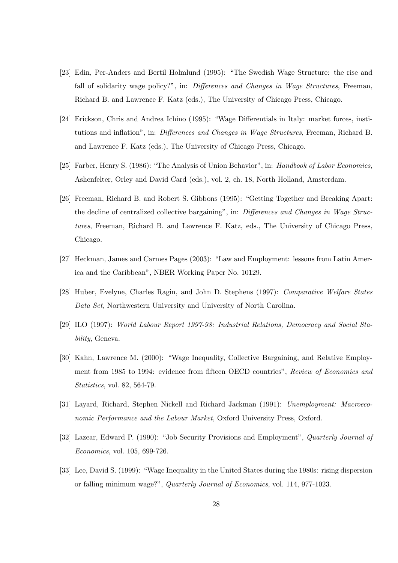- [23] Edin, Per-Anders and Bertil Holmlund (1995): "The Swedish Wage Structure: the rise and fall of solidarity wage policy?", in: Differences and Changes in Wage Structures, Freeman, Richard B. and Lawrence F. Katz (eds.), The University of Chicago Press, Chicago.
- [24] Erickson, Chris and Andrea Ichino (1995): "Wage Differentials in Italy: market forces, institutions and inflation", in: Differences and Changes in Wage Structures, Freeman, Richard B. and Lawrence F. Katz (eds.), The University of Chicago Press, Chicago.
- [25] Farber, Henry S. (1986): "The Analysis of Union Behavior", in: Handbook of Labor Economics, Ashenfelter, Orley and David Card (eds.), vol. 2, ch. 18, North Holland, Amsterdam.
- [26] Freeman, Richard B. and Robert S. Gibbons (1995): "Getting Together and Breaking Apart: the decline of centralized collective bargaining", in: Differences and Changes in Wage Structures, Freeman, Richard B. and Lawrence F. Katz, eds., The University of Chicago Press, Chicago.
- [27] Heckman, James and Carmes Pages (2003): "Law and Employment: lessons from Latin America and the Caribbeanî, NBER Working Paper No. 10129.
- [28] Huber, Evelyne, Charles Ragin, and John D. Stephens (1997): Comparative Welfare States Data Set, Northwestern University and University of North Carolina.
- [29] ILO (1997): World Labour Report 1997-98: Industrial Relations, Democracy and Social Stability, Geneva.
- [30] Kahn, Lawrence M. (2000): "Wage Inequality, Collective Bargaining, and Relative Employment from 1985 to 1994: evidence from fifteen OECD countries", Review of Economics and Statistics, vol. 82, 564-79.
- [31] Layard, Richard, Stephen Nickell and Richard Jackman (1991): Unemployment: Macroeconomic Performance and the Labour Market, Oxford University Press, Oxford.
- [32] Lazear, Edward P. (1990): "Job Security Provisions and Employment", Quarterly Journal of Economics, vol. 105, 699-726.
- [33] Lee, David S. (1999): "Wage Inequality in the United States during the 1980s: rising dispersion or falling minimum wage?î, Quarterly Journal of Economics, vol. 114, 977-1023.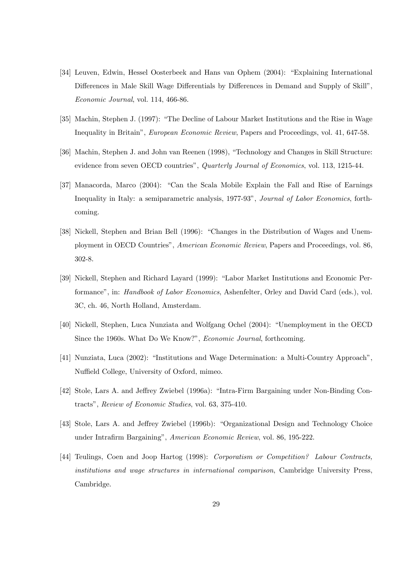- [34] Leuven, Edwin, Hessel Oosterbeek and Hans van Ophem (2004): "Explaining International Differences in Male Skill Wage Differentials by Differences in Demand and Supply of Skill". Economic Journal, vol. 114, 466-86.
- [35] Machin, Stephen J. (1997): "The Decline of Labour Market Institutions and the Rise in Wage Inequality in Britainî, European Economic Review, Papers and Proceedings, vol. 41, 647-58.
- [36] Machin, Stephen J. and John van Reenen (1998), "Technology and Changes in Skill Structure: evidence from seven OECD countries", Quarterly Journal of Economics, vol. 113, 1215-44.
- [37] Manacorda, Marco (2004): "Can the Scala Mobile Explain the Fall and Rise of Earnings Inequality in Italy: a semiparametric analysis, 1977-93", *Journal of Labor Economics*, forthcoming.
- [38] Nickell, Stephen and Brian Bell (1996): "Changes in the Distribution of Wages and Unemployment in OECD Countriesî, American Economic Review, Papers and Proceedings, vol. 86, 302-8.
- [39] Nickell, Stephen and Richard Layard (1999): "Labor Market Institutions and Economic Performance", in: Handbook of Labor Economics, Ashenfelter, Orley and David Card (eds.), vol. 3C, ch. 46, North Holland, Amsterdam.
- [40] Nickell, Stephen, Luca Nunziata and Wolfgang Ochel (2004): "Unemployment in the OECD Since the 1960s. What Do We Know?", *Economic Journal*, forthcoming.
- [41] Nunziata, Luca (2002): "Institutions and Wage Determination: a Multi-Country Approach", Nuffield College, University of Oxford, mimeo.
- [42] Stole, Lars A. and Jeffrey Zwiebel (1996a): "Intra-Firm Bargaining under Non-Binding Contractsî, Review of Economic Studies, vol. 63, 375-410.
- [43] Stole, Lars A. and Jeffrey Zwiebel (1996b): "Organizational Design and Technology Choice under Intrafirm Bargaining", American Economic Review, vol. 86, 195-222.
- [44] Teulings, Coen and Joop Hartog (1998): Corporatism or Competition? Labour Contracts, institutions and wage structures in international comparison, Cambridge University Press, Cambridge.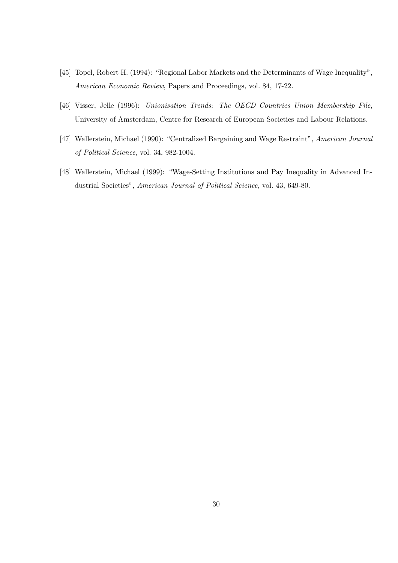- [45] Topel, Robert H. (1994): "Regional Labor Markets and the Determinants of Wage Inequality", American Economic Review, Papers and Proceedings, vol. 84, 17-22.
- [46] Visser, Jelle (1996): Unionisation Trends: The OECD Countries Union Membership File, University of Amsterdam, Centre for Research of European Societies and Labour Relations.
- [47] Wallerstein, Michael (1990): "Centralized Bargaining and Wage Restraint", American Journal of Political Science, vol. 34, 982-1004.
- [48] Wallerstein, Michael (1999): "Wage-Setting Institutions and Pay Inequality in Advanced Industrial Societies", American Journal of Political Science, vol. 43, 649-80.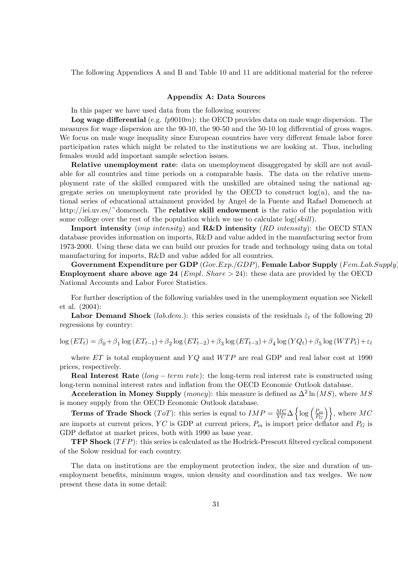The following Appendices A and B and Table 10 and 11 are additional material for the referee

#### Appendix A: Data Sources

In this paper we have used data from the following sources:

**Log wage differential** (e.g.  $lp9010m$ ): the OECD provides data on male wage dispersion. The measures for wage dispersion are the 90-10, the 90-50 and the 50-10 log differential of gross wages. We focus on male wage inequality since European countries have very different female labor force participation rates which might be related to the institutions we are looking at. Thus, including females would add important sample selection issues.

Relative unemployment rate: data on unemployment disaggregated by skill are not available for all countries and time periods on a comparable basis. The data on the relative unemployment rate of the skilled compared with the unskilled are obtained using the national aggregate series on unemployment rate provided by the OECD to construct  $log(u)$ , and the national series of educational attainment provided by Angel de la Fuente and Rafael Domenech at http://iei.uv.es/~domenech. The **relative skill endowment** is the ratio of the population with some college over the rest of the population which we use to calculate  $log(skill)$ .

**Import intensity** (*imp intensity*) and **R&D intensity** (*RD intensity*): the OECD STAN database provides information on imports, R&D and value added in the manufacturing sector from 1973-2000. Using these data we can build our proxies for trade and technology using data on total manufacturing for imports, R&D and value added for all countries.

Government Expenditure per GDP  $(Gov. Exp. / GDP)$ , Female Labor Supply  $(Fem. Lab. Supply$ **Employment share above age 24** (*Empl. Share*  $> 24$ ): these data are provided by the OECD National Accounts and Labor Force Statistics.

For further description of the following variables used in the unemployment equation see Nickell et al. (2004):

**Labor Demand Shock** (*lab.dem.*): this series consists of the residuals  $\hat{\epsilon}_t$  of the following 20 regressions by country:

$$
\log (ET_t) = \beta_0 + \beta_1 \log (ET_{t-1}) + \beta_2 \log (ET_{t-2}) + \beta_3 \log (ET_{t-3}) + \beta_4 \log (YQ_t) + \beta_5 \log (WTP_t) + \varepsilon_t
$$

where  $ET$  is total employment and  $YQ$  and  $WTP$  are real GDP and real labor cost at 1990 prices, respectively.

**Real Interest Rate** (long  $-$  term rate): the long-term real interest rate is constructed using long-term nominal interest rates and inflation from the OECD Economic Outlook database.

Acceleration in Money Supply (*money*): this measure is defined as  $\Delta^2 \ln(MS)$ , where MS is money supply from the OECD Economic Outlook database.

**Terms of Trade Shock** (*ToT*): this series is equal to  $IMP = \frac{MC}{YC} \Delta \left\{ \log \left( \frac{P_m}{P_G} \right) \right\}$  $\left\{\frac{P_m}{P_G}\right\}\right\}$ , where  $MC$ are imports at current prices, YC is GDP at current prices,  $P_m$  is import price deflator and  $P_G$  is GDP deflator at market prices, both with 1990 as base year.

**TFP Shock**  $(TFP)$ : this series is calculated as the Hodrick-Prescott filtered cyclical component of the Solow residual for each country.

The data on institutions are the employment protection index, the size and duration of unemployment benefits, minimum wages, union density and coordination and tax wedges. We now present these data in some detail: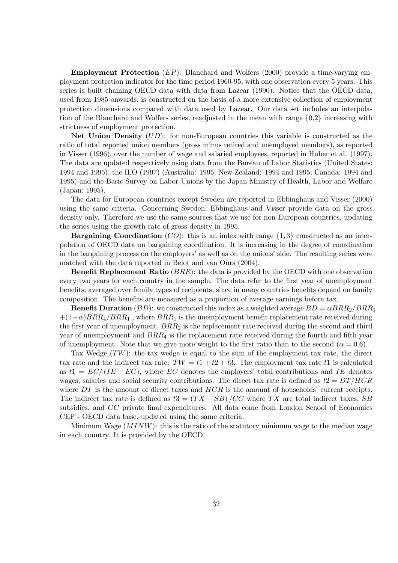Employment Protection (EP): Blanchard and Wolfers (2000) provide a time-varying employment protection indicator for the time period 1960-95, with one observation every 5 years. This series is built chaining OECD data with data from Lazear (1990). Notice that the OECD data, used from 1985 onwards, is constructed on the basis of a more extensive collection of employment protection dimensions compared with data used by Lazear. Our data set includes an interpolation of the Blanchard and Wolfers series, readjusted in the mean with range {0,2} increasing with strictness of employment protection.

Net Union Density  $(UD)$ : for non-European countries this variable is constructed as the ratio of total reported union members (gross minus retired and unemployed members), as reported in Visser (1996), over the number of wage and salaried employees, reported in Huber et al. (1997). The data are updated respectively using data from the Bureau of Labor Statistics (United States: 1994 and 1995), the ILO (1997) (Australia: 1995; New Zealand: 1994 and 1995; Canada: 1994 and 1995) and the Basic Survey on Labor Unions by the Japan Ministry of Health, Labor and Welfare (Japan: 1995).

The data for European countries except Sweden are reported in Ebbinghaus and Visser (2000) using the same criteria. Concerning Sweden, Ebbinghaus and Visser provide data on the gross density only. Therefore we use the same sources that we use for non-European countries, updating the series using the growth rate of gross density in 1995.

**Bargaining Coordination** (CO): this is an index with range  $\{1,3\}$  constructed as an interpolation of OECD data on bargaining coordination. It is increasing in the degree of coordination in the bargaining process on the employers' as well as on the unions' side. The resulting series were matched with the data reported in Belot and van Ours (2004).

**Benefit Replacement Ratio**  $(BRR)$ : the data is provided by the OECD with one observation every two years for each country in the sample. The data refer to the first year of unemployment benefits, averaged over family types of recipients, since in many countries benefits depend on family composition. The benefits are measured as a proportion of average earnings before tax.

**Benefit Duration** (BD): we constructed this index as a weighted average  $BD = \alpha BRR_2/BRR_1$  $+(1-\alpha)BRR_4/BRR_1$ , where  $BRR_1$  is the unemployment benefit replacement rate received during the first year of unemployment,  $BRR<sub>2</sub>$  is the replacement rate received during the second and third year of unemployment and  $BRR<sub>4</sub>$  is the replacement rate received during the fourth and fifth year of unemployment. Note that we give more weight to the first ratio than to the second ( $\alpha = 0.6$ ).

Tax Wedge  $(TW)$ : the tax wedge is equal to the sum of the employment tax rate, the direct tax rate and the indirect tax rate:  $TW = t1 + t2 + t3$ . The employment tax rate t1 is calculated as  $t_1 = EC/(IE - EC)$ , where EC denotes the employers' total contributions and IE denotes wages, salaries and social security contributions. The direct tax rate is defined as  $t2 = DT/HCR$ where  $DT$  is the amount of direct taxes and  $HCR$  is the amount of households' current receipts. The indirect tax rate is defined as  $t3 = (TX - SB)/CC$  where TX are total indirect taxes, SB subsidies, and  $CC$  private final expenditures. All data come from London School of Economics CEP - OECD data base, updated using the same criteria.

Minimum Wage  $(MINW)$ : this is the ratio of the statutory minimum wage to the median wage in each country. It is provided by the OECD.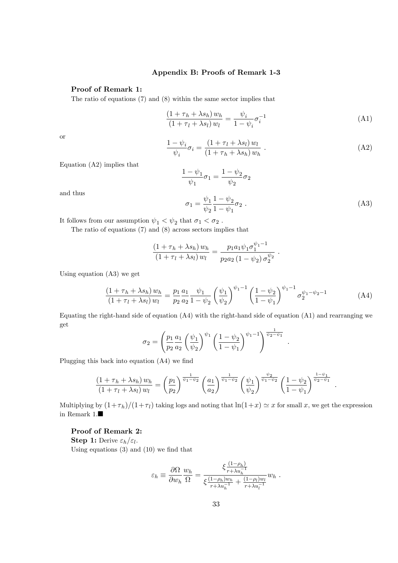### Appendix B: Proofs of Remark 1-3

#### Proof of Remark 1:

The ratio of equations (7) and (8) within the same sector implies that

$$
\frac{\left(1+\tau_h+\lambda s_h\right)w_h}{\left(1+\tau_l+\lambda s_l\right)w_l}=\frac{\psi_i}{1-\psi_i}\sigma_i^{-1}\tag{A1}
$$

or

$$
\frac{1 - \psi_i}{\psi_i} \sigma_i = \frac{\left(1 + \tau_l + \lambda s_l\right) w_l}{\left(1 + \tau_h + \lambda s_h\right) w_h} \tag{A2}
$$

Equation (A2) implies that

$$
\frac{1-\psi_1}{\psi_1}\sigma_1=\frac{1-\psi_2}{\psi_2}\sigma_2
$$

and thus

$$
\sigma_1 = \frac{\psi_1}{\psi_2} \frac{1 - \psi_2}{1 - \psi_1} \sigma_2 \ . \tag{A3}
$$

.

.

It follows from our assumption  $\psi_1 < \psi_2$  that  $\sigma_1 < \sigma_2$  .

The ratio of equations (7) and (8) across sectors implies that

$$
\frac{(1+\tau_h+\lambda s_h) w_h}{(1+\tau_l+\lambda s_l) w_l} = \frac{p_1 a_1 \psi_1 \sigma_1^{\psi_1-1}}{p_2 a_2 (1-\psi_2) \sigma_2^{\psi_2}}.
$$

Using equation (A3) we get

$$
\frac{(1+\tau_h + \lambda s_h) w_h}{(1+\tau_l + \lambda s_l) w_l} = \frac{p_1}{p_2} \frac{a_1}{a_2} \frac{\psi_1}{1-\psi_2} \left(\frac{\psi_1}{\psi_2}\right)^{\psi_1-1} \left(\frac{1-\psi_2}{1-\psi_1}\right)^{\psi_1-1} \sigma_2^{\psi_1-\psi_2-1}
$$
(A4)

Equating the right-hand side of equation (A4) with the right-hand side of equation (A1) and rearranging we get

$$
\sigma_2 = \left(\frac{p_1}{p_2} \frac{a_1}{a_2} \left(\frac{\psi_1}{\psi_2}\right)^{\psi_1} \left(\frac{1-\psi_2}{1-\psi_1}\right)^{\psi_1-1}\right)^{\frac{1}{\psi_2-\psi_1}}
$$

Plugging this back into equation  $(A4)$  we find

$$
\frac{(1+\tau_h + \lambda s_h) w_h}{(1+\tau_l + \lambda s_l) w_l} = \left(\frac{p_1}{p_2}\right)^{\frac{1}{\psi_1 - \psi_2}} \left(\frac{a_1}{a_2}\right)^{\frac{1}{\psi_1 - \psi_2}} \left(\frac{\psi_1}{\psi_2}\right)^{\frac{\psi_2}{\psi_1 - \psi_2}} \left(\frac{1-\psi_2}{1-\psi_1}\right)^{\frac{1-\psi_1}{\psi_2 - \psi_1}}
$$

Multiplying by  $(1+\tau_h)/(1+\tau_l)$  taking logs and noting that  $\ln(1+x) \simeq x$  for small x, we get the expression in Remark 1. $\blacksquare$ 

#### Proof of Remark 2:

**Step 1:** Derive  $\varepsilon_h/\varepsilon_l$ .

Using equations  $(3)$  and  $(10)$  we find that

$$
\varepsilon_h \equiv \frac{\partial \Omega}{\partial w_h} \frac{w_h}{\Omega} = \frac{\xi \frac{(1-\rho_h)}{r + \lambda u_h^{-1}}}{\xi \frac{(1-\rho_h)w_h}{r + \lambda u_h^{-1}} + \frac{(1-\rho_l)w_l}{r + \lambda u_l^{-1}}} w_h.
$$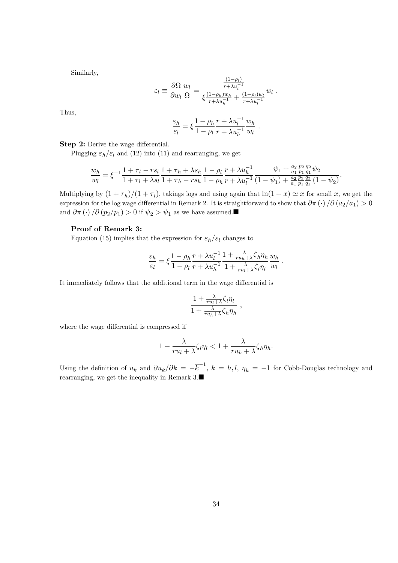Similarly,

$$
\varepsilon_l \equiv \frac{\partial \Omega}{\partial w_l} \frac{w_l}{\Omega} = \frac{\frac{(1-\rho_l)}{r + \lambda u_l^{-1}}}{\xi \frac{(1-\rho_h)w_h}{r + \lambda u_h^{-1}} + \frac{(1-\rho_l)w_l}{r + \lambda u_l^{-1}}} w_l.
$$

Thus,

$$
\frac{\varepsilon_h}{\varepsilon_l} = \xi \frac{1 - \rho_h}{1 - \rho_l} \frac{r + \lambda u_l^{-1}}{r + \lambda u_h^{-1}} \frac{w_h}{w_l} .
$$

Step 2: Derive the wage differential.

Plugging  $\varepsilon_h/\varepsilon_l$  and (12) into (11) and rearranging, we get

$$
\frac{w_h}{w_l} = \xi^{-1} \frac{1 + \tau_l - rs_l}{1 + \tau_l + \lambda s_l} \frac{1 + \tau_h + \lambda s_h}{1 + \tau_h - rs_h} \frac{1 - \rho_l}{1 - \rho_h} \frac{r + \lambda u_h^{-1}}{r + \lambda u_l^{-1}} \frac{\psi_1 + \frac{a_2}{a_1} \frac{p_2}{p_1} \frac{q_2}{q_1}}{\frac{p_2}{q_1} \frac{q_2}{q_1} \frac{q_2}{q_1} \left(1 - \psi_2\right)}.
$$

Multiplying by  $(1 + \tau_h)/(1 + \tau_l)$ , takings logs and using again that  $\ln(1 + x) \simeq x$  for small x, we get the expression for the log wage differential in Remark 2. It is straightforward to show that  $\partial \pi(\cdot)/\partial (a_2/a_1) > 0$ and  $\partial \pi(\cdot) / \partial (p_2/p_1) > 0$  if  $\psi_2 > \psi_1$  as we have assumed.

#### Proof of Remark 3:

Equation (15) implies that the expression for  $\varepsilon_h/\varepsilon_l$  changes to

$$
\frac{\varepsilon_h}{\varepsilon_l} = \xi \frac{1 - \rho_h}{1 - \rho_l} \frac{r + \lambda u_l^{-1}}{r + \lambda u_h^{-1}} \frac{1 + \frac{\lambda}{ru_h + \lambda} \zeta_h \eta_h}{1 + \frac{\lambda}{ru_l + \lambda} \zeta_l \eta_l} \frac{w_h}{w_l}.
$$

It immediately follows that the additional term in the wage differential is

$$
\frac{1 + \frac{\lambda}{ru_l + \lambda} \zeta_l \eta_l}{1 + \frac{\lambda}{ru_h + \lambda} \zeta_h \eta_h} ,
$$

where the wage differential is compressed if

$$
1 + \frac{\lambda}{ru_l + \lambda} \zeta_l \eta_l < 1 + \frac{\lambda}{ru_h + \lambda} \zeta_h \eta_h.
$$

Using the definition of  $u_k$  and  $\partial u_k/\partial k = -\overline{k}^{-1}$ ,  $k = h, l, \eta_k = -1$  for Cobb-Douglas technology and rearranging, we get the inequality in Remark 3.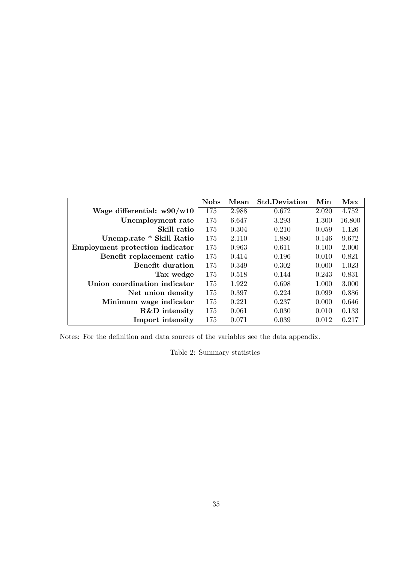|                                        | <b>Nobs</b> | Mean  | <b>Std.Deviation</b> | Min   | Max    |
|----------------------------------------|-------------|-------|----------------------|-------|--------|
| Wage differential: $w90/w10$           | 175         | 2.988 | 0.672                | 2.020 | 4.752  |
| Unemployment rate                      | 175         | 6.647 | 3.293                | 1.300 | 16.800 |
| Skill ratio                            | 175         | 0.304 | 0.210                | 0.059 | 1.126  |
| Unemp.rate * Skill Ratio               | 175         | 2.110 | 1.880                | 0.146 | 9.672  |
| <b>Employment protection indicator</b> | 175         | 0.963 | 0.611                | 0.100 | 2.000  |
| Benefit replacement ratio              | 175         | 0.414 | 0.196                | 0.010 | 0.821  |
| <b>Benefit duration</b>                | 175         | 0.349 | 0.302                | 0.000 | 1.023  |
| Tax wedge                              | 175         | 0.518 | 0.144                | 0.243 | 0.831  |
| Union coordination indicator           | 175         | 1.922 | 0.698                | 1.000 | 3.000  |
| Net union density                      | 175         | 0.397 | 0.224                | 0.099 | 0.886  |
| Minimum wage indicator                 | 175         | 0.221 | 0.237                | 0.000 | 0.646  |
| R&D intensity                          | 175         | 0.061 | 0.030                | 0.010 | 0.133  |
| Import intensity                       | 175         | 0.071 | 0.039                | 0.012 | 0.217  |

Notes: For the definition and data sources of the variables see the data appendix.

Table 2: Summary statistics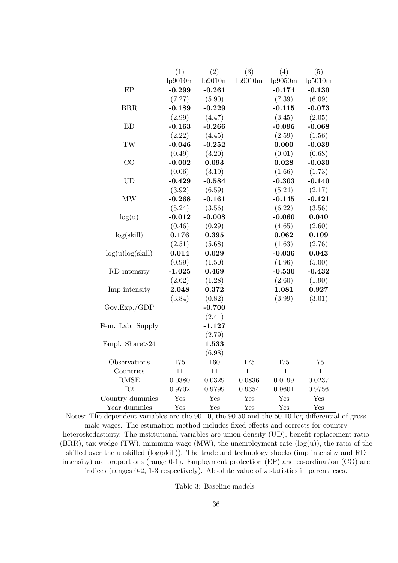|                     | $\overline{(1)}$ | $\overline{(2)}$ | $\overline{(3)}$ | $\overline{(4)}$ | $\overline{(5)}$ |
|---------------------|------------------|------------------|------------------|------------------|------------------|
|                     | lp9010m          | lp9010m          | lp9010m          | lp9050m          | lp5010m          |
| EP                  | $-0.299$         | $-0.261$         |                  | $-0.174$         | $-0.130$         |
|                     | (7.27)           | (5.90)           |                  | (7.39)           | (6.09)           |
| BRR                 | $-0.189$         | $-0.229$         |                  | $-0.115$         | $-0.073$         |
|                     | (2.99)           | (4.47)           |                  | (3.45)           | (2.05)           |
| BD                  | $-0.163$         | $-0.266$         |                  | $-0.096$         | $-0.068$         |
|                     | (2.22)           | (4.45)           |                  | (2.59)           | (1.56)           |
| $\operatorname{TW}$ | $-0.046$         | $-0.252$         |                  | 0.000            | $-0.039$         |
|                     | (0.49)           | (3.20)           |                  | (0.01)           | (0.68)           |
| CO                  | $-0.002$         | 0.093            |                  | 0.028            | $-0.030$         |
|                     | (0.06)           | (3.19)           |                  | (1.66)           | (1.73)           |
| <b>UD</b>           | $-0.429$         | $-0.584$         |                  | $-0.303$         | $-0.140$         |
|                     | (3.92)           | (6.59)           |                  | (5.24)           | (2.17)           |
| MW                  | $-0.268$         | $-0.161$         |                  | $-0.145$         | $-0.121$         |
|                     | (5.24)           | (3.56)           |                  | (6.22)           | (3.56)           |
| log(u)              | $-0.012$         | $-0.008$         |                  | $-0.060$         | 0.040            |
|                     | (0.46)           | (0.29)           |                  | (4.65)           | (2.60)           |
| log(skill)          | 0.176            | 0.395            |                  | 0.062            | 0.109            |
|                     | (2.51)           | (5.68)           |                  | (1.63)           | (2.76)           |
| log(u)log(skill)    | 0.014            | 0.029            |                  | $-0.036$         | 0.043            |
|                     | (0.99)           | (1.50)           |                  | (4.96)           | (5.00)           |
| RD intensity        | $-1.025$         | 0.469            |                  | $-0.530$         | $-0.432$         |
|                     | (2.62)           | (1.28)           |                  | (2.60)           | (1.90)           |
| Imp intensity       | 2.048            | 0.372            |                  | 1.081            | 0.927            |
|                     | (3.84)           | (0.82)           |                  | (3.99)           | (3.01)           |
| Gov.Exp./GDP        |                  | $-0.700$         |                  |                  |                  |
|                     |                  | (2.41)           |                  |                  |                  |
| Fem. Lab. Supply    |                  | $-1.127$         |                  |                  |                  |
|                     |                  | (2.79)           |                  |                  |                  |
| Empl. Share>24      |                  | 1.533            |                  |                  |                  |
|                     |                  | (6.98)           |                  |                  |                  |
| Observations        | 175              | 160              | 175              | 175              | 175              |
| Countries           | 11               | 11               | 11               | 11               | 11               |
| <b>RMSE</b>         | 0.0380           | 0.0329           | 0.0836           | 0.0199           | 0.0237           |
| R2                  | 0.9702           | 0.9799           | 0.9354           | 0.9601           | 0.9756           |
| Country dummies     | Yes              | Yes              | Yes              | Yes              | Yes              |
| Year dummies        | Yes              | Yes              | Yes              | Yes              | Yes              |

Notes: The dependent variables are the  $90-10$ , the  $90-50$  and the  $50-10$  log differential of gross male wages. The estimation method includes fixed effects and corrects for country heteroskedasticity. The institutional variables are union density (UD), benefit replacement ratio  $(BRR)$ , tax wedge  $(TW)$ , minimum wage  $(MW)$ , the unemployment rate  $(log(u))$ , the ratio of the skilled over the unskilled (log(skill)). The trade and technology shocks (imp intensity and RD intensity) are proportions (range 0-1). Employment protection (EP) and co-ordination (CO) are indices (ranges 0-2, 1-3 respectively). Absolute value of z statistics in parentheses.

Table 3: Baseline models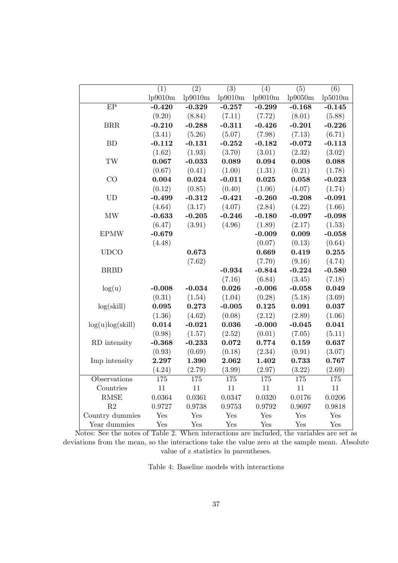|                                 | (1)      | $\overline{(2)}$ | $\overline{(3)}$ | (4)      | (5)      | $\overline{(6)}$ |
|---------------------------------|----------|------------------|------------------|----------|----------|------------------|
|                                 | lp9010m  | lp9010m          | lp9010m          | lp9010m  | lp9050m  | lp5010m          |
| $\overline{EP}$                 | $-0.420$ | $-0.329$         | $-0.257$         | $-0.299$ | $-0.168$ | $-0.145$         |
|                                 | (9.20)   | (8.84)           | (7.11)           | (7.72)   | (8.01)   | (5.88)           |
| BRR                             | $-0.210$ | $-0.288$         | $-0.311$         | $-0.426$ | $-0.201$ | $-0.226$         |
|                                 | (3.41)   | (5.26)           | (5.07)           | (7.98)   | (7.13)   | (6.71)           |
| BD                              | $-0.112$ | $-0.131$         | $-0.252$         | $-0.182$ | $-0.072$ | $-0.113$         |
|                                 | (1.62)   | (1.93)           | (3.70)           | (3.01)   | (2.32)   | (3.02)           |
| $\operatorname{TW}$             | 0.067    | $-0.033$         | 0.089            | 0.094    | 0.008    | 0.088            |
|                                 | (0.67)   | (0.41)           | (1.00)           | (1.31)   | (0.21)   | (1.78)           |
| CO                              | 0.004    | 0.024            | $-0.011$         | 0.025    | 0.058    | $-0.023$         |
|                                 | (0.12)   | (0.85)           | (0.40)           | (1.06)   | (4.07)   | (1.74)           |
| <b>UD</b>                       | $-0.499$ | $-0.312$         | $-0.421$         | $-0.260$ | $-0.208$ | $-0.091$         |
|                                 | (4.64)   | (3.17)           | (4.07)           | (2.84)   | (4.22)   | (1.66)           |
| $\ensuremath{\text{MW}}\xspace$ | $-0.633$ | $-0.205$         | $-0.246$         | $-0.180$ | $-0.097$ | $-0.098$         |
|                                 | (6.47)   | (3.91)           | (4.96)           | (1.89)   | (2.17)   | (1.53)           |
| <b>EPMW</b>                     | $-0.679$ |                  |                  | $-0.009$ | 0.009    | $-0.058$         |
|                                 | (4.48)   |                  |                  | (0.07)   | (0.13)   | (0.64)           |
| <b>UDCO</b>                     |          | 0.673            |                  | 0.669    | 0.419    | 0.255            |
|                                 |          | (7.62)           |                  | (7.70)   | (9.16)   | (4.74)           |
| <b>BRBD</b>                     |          |                  | $-0.934$         | $-0.844$ | $-0.224$ | $-0.580$         |
|                                 |          |                  | (7.16)           | (6.84)   | (3.45)   | (7.18)           |
| log(u)                          | $-0.008$ | $-0.034$         | 0.026            | $-0.006$ | $-0.058$ | 0.049            |
|                                 | (0.31)   | (1.54)           | (1.04)           | (0.28)   | (5.18)   | (3.69)           |
| log(skill)                      | 0.095    | 0.273            | $-0.005$         | 0.125    | 0.091    | 0.037            |
|                                 | (1.36)   | (4.62)           | (0.08)           | (2.12)   | (2.89)   | (1.06)           |
| log(u)log(skill)                | 0.014    | $-0.021$         | 0.036            | $-0.000$ | $-0.045$ | 0.041            |
|                                 | (0.98)   | (1.57)           | (2.52)           | (0.01)   | (7.05)   | (5.11)           |
| RD intensity                    | $-0.368$ | $-0.233$         | 0.072            | 0.774    | 0.159    | 0.637            |
|                                 | (0.93)   | (0.69)           | (0.18)           | (2.34)   | (0.91)   | (3.07)           |
| Imp intensity                   | 2.297    | 1.390            | 2.062            | 1.402    | 0.733    | 0.767            |
|                                 | (4.24)   | (2.79)           | (3.99)           | (2.97)   | (3.22)   | (2.69)           |
| Observations                    | 175      | 175              | 175              | 175      | 175      | 175              |
| Countries                       | 11       | $11\,$           | 11               | 11       | 11       | 11               |
| <b>RMSE</b>                     | 0.0364   | 0.0361           | 0.0347           | 0.0320   | 0.0176   | 0.0206           |
| $\mathbf{R}2$                   | 0.9727   | 0.9738           | 0.9753           | 0.9792   | 0.9697   | 0.9818           |
| Country dummies                 | Yes      | Yes              | Yes              | Yes      | Yes      | Yes              |
| Year dummies                    | Yes      | Yes              | Yes              | Yes      | Yes      | Yes              |

Notes: See the notes of Table 2. When interactions are included, the variables are set as deviations from the mean, so the interactions take the value zero at the sample mean. Absolute value of z statistics in parentheses.

Table 4: Baseline models with interactions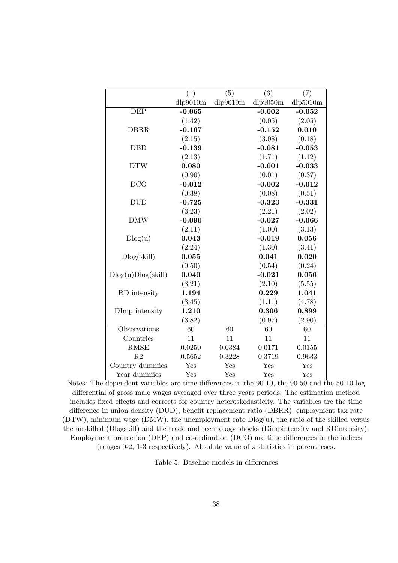|                    | $\overline{(1)}$ | $\overline{(5)}$ | $\overline{(6)}$ | (7)      |
|--------------------|------------------|------------------|------------------|----------|
|                    | dlp9010m         | dlp9010m         | dlp9050m         | dlp5010m |
| <b>DEP</b>         | $-0.065$         |                  | $-0.002$         | $-0.052$ |
|                    | (1.42)           |                  | (0.05)           | (2.05)   |
| <b>DBRR</b>        | $-0.167$         |                  | $-0.152$         | 0.010    |
|                    | (2.15)           |                  | (3.08)           | (0.18)   |
| <b>DBD</b>         | $-0.139$         |                  | $-0.081$         | $-0.053$ |
|                    | (2.13)           |                  | (1.71)           | (1.12)   |
| <b>DTW</b>         | 0.080            |                  | $-0.001$         | $-0.033$ |
|                    | (0.90)           |                  | (0.01)           | (0.37)   |
| <b>DCO</b>         | $-0.012$         |                  | $-0.002$         | $-0.012$ |
|                    | (0.38)           |                  | (0.08)           | (0.51)   |
| <b>DUD</b>         | $-0.725$         |                  | $-0.323$         | $-0.331$ |
|                    | (3.23)           |                  | (2.21)           | (2.02)   |
| <b>DMW</b>         | $-0.090$         |                  | $-0.027$         | $-0.066$ |
|                    | (2.11)           |                  | (1.00)           | (3.13)   |
| Dlog(u)            | 0.043            |                  | $-0.019$         | 0.056    |
|                    | (2.24)           |                  | (1.30)           | (3.41)   |
| Dlog(skill)        | 0.055            |                  | 0.041            | 0.020    |
|                    | (0.50)           |                  | (0.54)           | (0.24)   |
| Dlog(u)Dlog(skill) | 0.040            |                  | $-0.021$         | 0.056    |
|                    | (3.21)           |                  | (2.10)           | (5.55)   |
| RD intensity       | 1.194            |                  | 0.229            | 1.041    |
|                    | (3.45)           |                  | (1.11)           | (4.78)   |
| DImp intensity     | 1.210            |                  | 0.306            | 0.899    |
|                    | (3.82)           |                  | (0.97)           | (2.90)   |
| Observations       | 60               | 60               | 60               | 60       |
| Countries          | 11               | 11               | 11               | 11       |
| <b>RMSE</b>        | 0.0250           | 0.0384           | 0.0171           | 0.0155   |
| R <sub>2</sub>     | 0.5652           | 0.3228           | 0.3719           | 0.9633   |
| Country dummies    | Yes              | Yes              | Yes              | Yes      |
| Year dummies       | Yes              | Yes              | Yes              | Yes      |

Notes: The dependent variables are time differences in the 90-10, the 90-50 and the 50-10 log differential of gross male wages averaged over three years periods. The estimation method includes fixed effects and corrects for country heteroskedasticity. The variables are the time difference in union density (DUD), benefit replacement ratio (DBRR), employment tax rate (DTW), minimum wage (DMW), the unemployment rate Dlog(u), the ratio of the skilled versus the unskilled (Dlogskill) and the trade and technology shocks (Dimpintensity and RDintensity). Employment protection (DEP) and co-ordination (DCO) are time differences in the indices (ranges 0-2, 1-3 respectively). Absolute value of z statistics in parentheses.

Table 5: Baseline models in differences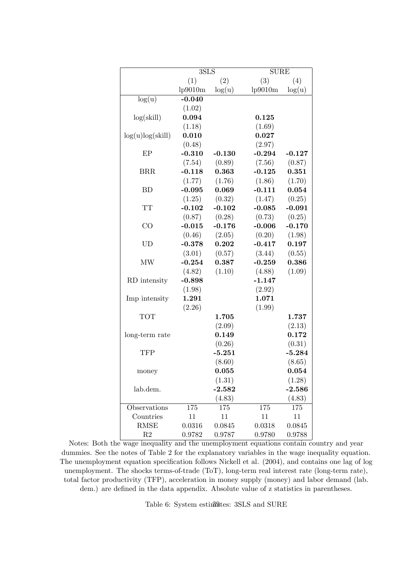|                  | $3{\rm SLS}$ |          | <b>SURE</b> |          |
|------------------|--------------|----------|-------------|----------|
|                  | (1)          | (2)      | (3)         | (4)      |
|                  | lp9010m      | log(u)   | lp9010m     | log(u)   |
| log(u)           | $-0.040$     |          |             |          |
|                  | (1.02)       |          |             |          |
| log(skill)       | 0.094        |          | 0.125       |          |
|                  | (1.18)       |          | (1.69)      |          |
| log(u)log(skill) | 0.010        |          | 0.027       |          |
|                  | (0.48)       |          | (2.97)      |          |
| EP               | $-0.310$     | $-0.130$ | $-0.294$    | $-0.127$ |
|                  | (7.54)       | (0.89)   | (7.56)      | (0.87)   |
| <b>BRR</b>       | $-0.118$     | 0.363    | $-0.125$    | 0.351    |
|                  | (1.77)       | (1.76)   | (1.86)      | (1.70)   |
| BD               | $-0.095$     | 0.069    | $-0.111$    | 0.054    |
|                  | (1.25)       | (0.32)   | (1.47)      | (0.25)   |
| <b>TT</b>        | $-0.102$     | $-0.102$ | $-0.085$    | $-0.091$ |
|                  | (0.87)       | (0.28)   | (0.73)      | (0.25)   |
| CO               | $-0.015$     | $-0.176$ | $-0.006$    | $-0.170$ |
|                  | (0.46)       | (2.05)   | (0.20)      | (1.98)   |
| UD               | $-0.378$     | 0.202    | $-0.417$    | 0.197    |
|                  | (3.01)       | (0.57)   | (3.44)      | (0.55)   |
| MW               | $-0.254$     | 0.387    | $-0.259$    | 0.386    |
|                  | (4.82)       | (1.10)   | (4.88)      | (1.09)   |
| RD intensity     | $-0.898$     |          | $-1.147$    |          |
|                  | (1.98)       |          | (2.92)      |          |
| Imp intensity    | 1.291        |          | 1.071       |          |
|                  | (2.26)       |          | (1.99)      |          |
| <b>TOT</b>       |              | 1.705    |             | 1.737    |
|                  |              | (2.09)   |             | (2.13)   |
| long-term rate   |              | 0.149    |             | 0.172    |
|                  |              | (0.26)   |             | (0.31)   |
| <b>TFP</b>       |              | $-5.251$ |             | $-5.284$ |
|                  |              | (8.60)   |             | (8.65)   |
| money            |              | 0.055    |             | 0.054    |
|                  |              | (1.31)   |             | (1.28)   |
| lab.dem.         |              | $-2.582$ |             | $-2.586$ |
|                  |              | (4.83)   |             | (4.83)   |
| Observations     | 175          | 175      | 175         | 175      |
| Countries        | 11           | 11       | 11          | 11       |
| <b>RMSE</b>      | 0.0316       | 0.0845   | 0.0318      | 0.0845   |
| $\mathbf{R}2$    | 0.9782       | 0.9787   | 0.9780      | 0.9788   |

Notes: Both the wage inequality and the unemployment equations contain country and year dummies. See the notes of Table 2 for the explanatory variables in the wage inequality equation. The unemployment equation specification follows Nickell et al. (2004), and contains one lag of log unemployment. The shocks terms-of-trade (ToT), long-term real interest rate (long-term rate), total factor productivity (TFP), acceleration in money supply (money) and labor demand (lab. dem.) are defined in the data appendix. Absolute value of z statistics in parentheses.

Table 6: System estinaltes: 3SLS and SURE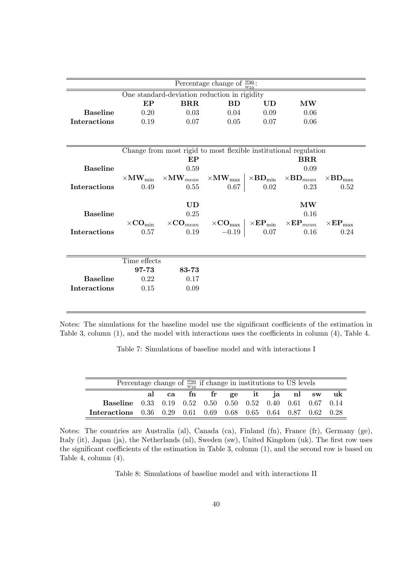|                                              |              |                                                                                                                                                                    | Percentage change of $\frac{w_{90}}{w_{10}}$ : |                              |                        |                            |  |  |  |
|----------------------------------------------|--------------|--------------------------------------------------------------------------------------------------------------------------------------------------------------------|------------------------------------------------|------------------------------|------------------------|----------------------------|--|--|--|
| One standard-deviation reduction in rigidity |              |                                                                                                                                                                    |                                                |                              |                        |                            |  |  |  |
|                                              | EP           | <b>BRR</b>                                                                                                                                                         | <b>BD</b>                                      | UD<br>$\mathbf{M}\mathbf{W}$ |                        |                            |  |  |  |
| <b>Baseline</b>                              | 0.20         | 0.03                                                                                                                                                               | 0.04                                           | 0.09                         | 0.06                   |                            |  |  |  |
| <b>Interactions</b>                          | 0.19         | 0.07                                                                                                                                                               | 0.05                                           | 0.07                         | 0.06                   |                            |  |  |  |
|                                              |              |                                                                                                                                                                    |                                                |                              |                        |                            |  |  |  |
|                                              |              | Change from most rigid to most flexible institutional regulation                                                                                                   |                                                |                              |                        |                            |  |  |  |
|                                              |              | EP                                                                                                                                                                 |                                                |                              | $_{\rm BRR}$           |                            |  |  |  |
| <b>Baseline</b>                              |              | 0.09                                                                                                                                                               |                                                |                              |                        |                            |  |  |  |
|                                              |              | $\times \rm MW_{min} \quad \times \rm MW_{\it mean} \quad \times \rm MW_{\it max} \, \mid \times BD_{\rm min} \quad \times BD_{\it mean} \, \cdot$                 |                                                |                              |                        | $\times BD_{\rm max}$      |  |  |  |
| <b>Interactions</b>                          | 0.49         | 0.55                                                                                                                                                               | 0.67                                           | 0.02                         | 0.23                   | 0.52                       |  |  |  |
|                                              |              |                                                                                                                                                                    |                                                |                              |                        |                            |  |  |  |
|                                              |              | <b>UD</b>                                                                                                                                                          |                                                |                              | $\mathbf{M}\mathbf{W}$ |                            |  |  |  |
| <b>Baseline</b>                              |              | 0.25                                                                                                                                                               |                                                |                              | 0.16                   |                            |  |  |  |
|                                              |              | $\times \text{CO}_{\text{min}} \quad \times \text{CO}_{mean} \quad \times \text{CO}_{\text{max}} \mid \times \text{EP}_{\text{min}} \quad \times \text{EP}_{mean}$ |                                                |                              |                        | $\times{\bf EP}_{\rm max}$ |  |  |  |
| Interactions                                 | 0.57         | 0.19                                                                                                                                                               | $-0.19$                                        | 0.07                         | 0.16                   | 0.24                       |  |  |  |
|                                              |              |                                                                                                                                                                    |                                                |                              |                        |                            |  |  |  |
|                                              | Time effects |                                                                                                                                                                    |                                                |                              |                        |                            |  |  |  |
|                                              | 97-73        | 83-73                                                                                                                                                              |                                                |                              |                        |                            |  |  |  |
| <b>Baseline</b>                              | 0.22         | 0.17                                                                                                                                                               |                                                |                              |                        |                            |  |  |  |
| <b>Interactions</b>                          | 0.15         | 0.09                                                                                                                                                               |                                                |                              |                        |                            |  |  |  |
|                                              |              |                                                                                                                                                                    |                                                |                              |                        |                            |  |  |  |

Notes: The simulations for the baseline model use the significant coefficients of the estimation in Table 3, column  $(1)$ , and the model with interactions uses the coefficients in column  $(4)$ , Table 4.

Table 7: Simulations of baseline model and with interactions I

| Percentage change of $\frac{w_{90}}{w_{10}}$ if change in institutions to US levels |  |  |  |  |  |  |                               |  |  |
|-------------------------------------------------------------------------------------|--|--|--|--|--|--|-------------------------------|--|--|
|                                                                                     |  |  |  |  |  |  | al ca fn fr ge it ja nl sw uk |  |  |
| <b>Baseline</b> 0.33 0.19 0.52 0.50 0.50 0.52 0.40 0.61 0.67 0.14                   |  |  |  |  |  |  |                               |  |  |
| Interactions 0.36 0.29 0.61 0.69 0.68 0.65 0.64 0.87 0.62 0.28                      |  |  |  |  |  |  |                               |  |  |

Notes: The countries are Australia (al), Canada (ca), Finland (fn), France (fr), Germany (ge), Italy (it), Japan (ja), the Netherlands (nl), Sweden (sw), United Kingdom (uk). The first row uses the significant coefficients of the estimation in Table 3, column  $(1)$ , and the second row is based on Table 4, column (4).

Table 8: Simulations of baseline model and with interactions II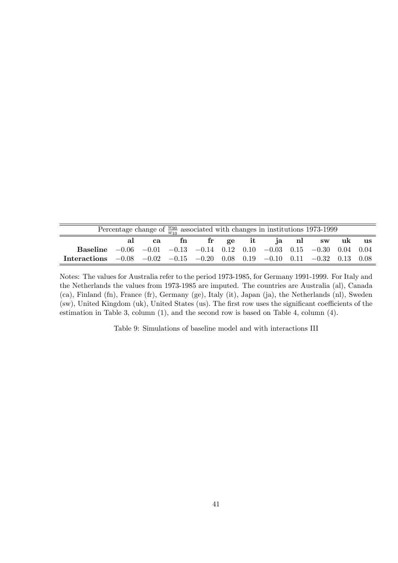| Percentage change of $\frac{w_{90}}{w_{10}}$ associated with changes in institutions 1973-1999  |  |    |    |  |  |  |  |                         |  |  |
|-------------------------------------------------------------------------------------------------|--|----|----|--|--|--|--|-------------------------|--|--|
|                                                                                                 |  | ca | fn |  |  |  |  | fr ge it ja nl sw uk us |  |  |
| <b>Baseline</b> $-0.06$ $-0.01$ $-0.13$ $-0.14$ 0.12 0.10 $-0.03$ 0.15 $-0.30$ 0.04 0.04        |  |    |    |  |  |  |  |                         |  |  |
| Interactions $-0.08$ $-0.02$ $-0.15$ $-0.20$ $0.08$ $0.19$ $-0.10$ $0.11$ $-0.32$ $0.13$ $0.08$ |  |    |    |  |  |  |  |                         |  |  |

Notes: The values for Australia refer to the period 1973-1985, for Germany 1991-1999. For Italy and the Netherlands the values from 1973-1985 are imputed. The countries are Australia (al), Canada (ca), Finland (fn), France (fr), Germany (ge), Italy (it), Japan (ja), the Netherlands (nl), Sweden (sw), United Kingdom (uk), United States (us). The first row uses the significant coefficients of the estimation in Table 3, column (1), and the second row is based on Table 4, column (4).

Table 9: Simulations of baseline model and with interactions III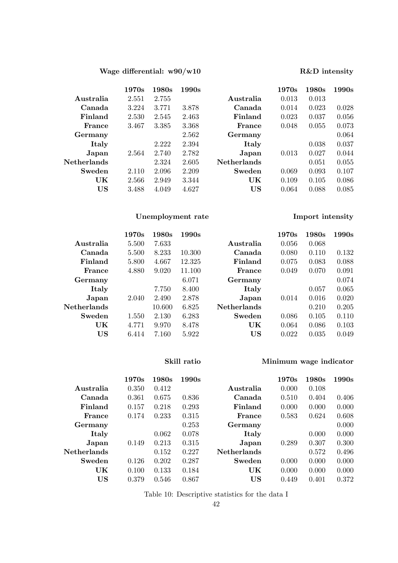### Wage differential:  $w90/w10$  R&D intensity

# 1970s 1980s 1990s 1970s 1980s 1990s Australia 2.551 2.755 Australia 0.013 0.013 Canada 3.224 3.771 3.878 Canada 0.014 0.023 0.028 Finland 2.530 2.545 2.463 Finland 0.023 0.037 0.056 **France** 3.467 3.385 3.368 **France** 0.048 0.055 0.073 Germany 2.562 Germany 0.064 **Italy** 2.222 2.394 **Italy** 0.038 0.037 Japan 2.564 2.740 2.782 Japan 0.013 0.027 0.044 Netherlands 2.324 2.605 Netherlands 0.051 0.055 **Sweden** 2.110 2.096 2.209 **Sweden** 0.069 0.093 0.107 UK 2.566 2.949 3.344 UK 0.109 0.105 0.086 US 3.488 4.049 4.627 US 0.064 0.088 0.085

## Unemployment rate **Import intensity**

| 1970s | 1980s  | 1990s  |                    | 1970s | 1980s | 1990s |
|-------|--------|--------|--------------------|-------|-------|-------|
| 5.500 | 7.633  |        | Australia          | 0.056 | 0.068 |       |
| 5.500 | 8.233  | 10.300 | Canada             | 0.080 | 0.110 | 0.132 |
| 5.800 | 4.667  | 12.325 | Finland            | 0.075 | 0.083 | 0.088 |
| 4.880 | 9.020  | 11.100 | <b>France</b>      | 0.049 | 0.070 | 0.091 |
|       |        | 6.071  | Germany            |       |       | 0.074 |
|       | 7.750  | 8.400  | Italy              |       | 0.057 | 0.065 |
| 2.040 | 2.490  | 2.878  | Japan              | 0.014 | 0.016 | 0.020 |
|       | 10.600 | 6.825  | <b>Netherlands</b> |       | 0.210 | 0.205 |
| 1.550 | 2.130  | 6.283  | Sweden             | 0.086 | 0.105 | 0.110 |
| 4.771 | 9.970  | 8.478  | UK                 | 0.064 | 0.086 | 0.103 |
| 6.414 | 7.160  | 5.922  | US                 | 0.022 | 0.035 | 0.049 |
|       |        |        |                    |       |       |       |

### Skill ratio Minimum wage indicator

|                     | 1970s | 1980s | 1990s |                    | 1970s | 1980s | 1990s |
|---------------------|-------|-------|-------|--------------------|-------|-------|-------|
| Australia           | 0.350 | 0.412 |       | Australia          | 0.000 | 0.108 |       |
| Canada              | 0.361 | 0.675 | 0.836 | Canada             | 0.510 | 0.404 | 0.406 |
| Finland             | 0.157 | 0.218 | 0.293 | Finland            | 0.000 | 0.000 | 0.000 |
| France              | 0.174 | 0.233 | 0.315 | France             | 0.583 | 0.624 | 0.608 |
| Germany             |       |       | 0.253 | Germany            |       |       | 0.000 |
| Italy               |       | 0.062 | 0.078 | Italy              |       | 0.000 | 0.000 |
| Japan               | 0.149 | 0.213 | 0.315 | Japan              | 0.289 | 0.307 | 0.300 |
| ${\bf Netherlands}$ |       | 0.152 | 0.227 | <b>Netherlands</b> |       | 0.572 | 0.496 |
| Sweden              | 0.126 | 0.202 | 0.287 | Sweden             | 0.000 | 0.000 | 0.000 |
| UK                  | 0.100 | 0.133 | 0.184 | UK                 | 0.000 | 0.000 | 0.000 |
| US                  | 0.379 | 0.546 | 0.867 | US                 | 0.449 | 0.401 | 0.372 |
|                     |       |       |       |                    |       |       |       |

Table 10: Descriptive statistics for the data I

| Import intensity |
|------------------|
|                  |